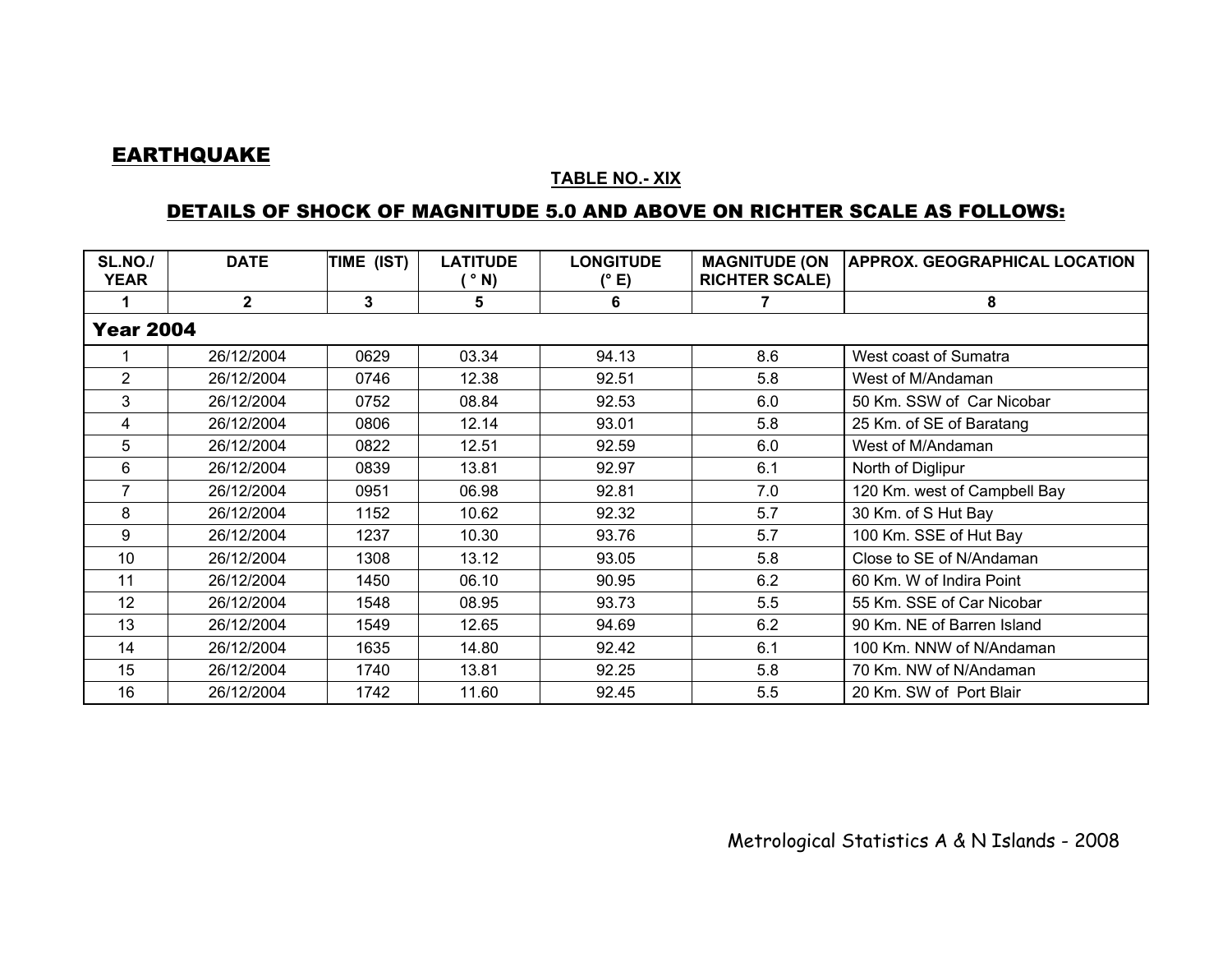## **EARTHQUAKE**

## **TABLE NO.- XIX**

## DETAILS OF SHOCK OF MAGNITUDE 5.0 AND ABOVE ON RICHTER SCALE AS FOLLOWS:

| <b>SL.NO./</b><br><b>YEAR</b> | <b>DATE</b>  | TIME (IST) | <b>LATITUDE</b><br>$^{\circ}$ N) | <b>LONGITUDE</b><br>(° E) | <b>MAGNITUDE (ON</b><br><b>RICHTER SCALE)</b> | <b>APPROX. GEOGRAPHICAL LOCATION</b> |  |  |  |  |
|-------------------------------|--------------|------------|----------------------------------|---------------------------|-----------------------------------------------|--------------------------------------|--|--|--|--|
|                               | $\mathbf{2}$ | 3          | 5                                | 6                         | 7                                             | 8                                    |  |  |  |  |
| <b>Year 2004</b>              |              |            |                                  |                           |                                               |                                      |  |  |  |  |
|                               | 26/12/2004   | 0629       | 03.34                            | 94.13                     | 8.6                                           | West coast of Sumatra                |  |  |  |  |
| $\overline{2}$                | 26/12/2004   | 0746       | 12.38                            | 92.51                     | 5.8                                           | West of M/Andaman                    |  |  |  |  |
| $\mathbf{3}$                  | 26/12/2004   | 0752       | 08.84                            | 92.53                     | 6.0                                           | 50 Km. SSW of Car Nicobar            |  |  |  |  |
| 4                             | 26/12/2004   | 0806       | 12.14                            | 93.01                     | 5.8                                           | 25 Km. of SE of Baratang             |  |  |  |  |
| 5                             | 26/12/2004   | 0822       | 12.51                            | 92.59                     | 6.0                                           | West of M/Andaman                    |  |  |  |  |
| 6                             | 26/12/2004   | 0839       | 13.81                            | 92.97                     | 6.1                                           | North of Diglipur                    |  |  |  |  |
| 7                             | 26/12/2004   | 0951       | 06.98                            | 92.81                     | 7.0                                           | 120 Km. west of Campbell Bay         |  |  |  |  |
| 8                             | 26/12/2004   | 1152       | 10.62                            | 92.32                     | 5.7                                           | 30 Km. of S Hut Bay                  |  |  |  |  |
| 9                             | 26/12/2004   | 1237       | 10.30                            | 93.76                     | 5.7                                           | 100 Km. SSE of Hut Bay               |  |  |  |  |
| 10                            | 26/12/2004   | 1308       | 13.12                            | 93.05                     | 5.8                                           | Close to SE of N/Andaman             |  |  |  |  |
| 11                            | 26/12/2004   | 1450       | 06.10                            | 90.95                     | 6.2                                           | 60 Km. W of Indira Point             |  |  |  |  |
| 12                            | 26/12/2004   | 1548       | 08.95                            | 93.73                     | 5.5                                           | 55 Km. SSE of Car Nicobar            |  |  |  |  |
| 13                            | 26/12/2004   | 1549       | 12.65                            | 94.69                     | 6.2                                           | 90 Km. NE of Barren Island           |  |  |  |  |
| 14                            | 26/12/2004   | 1635       | 14.80                            | 92.42                     | 6.1                                           | 100 Km. NNW of N/Andaman             |  |  |  |  |
| 15                            | 26/12/2004   | 1740       | 13.81                            | 92.25                     | 5.8                                           | 70 Km. NW of N/Andaman               |  |  |  |  |
| 16                            | 26/12/2004   | 1742       | 11.60                            | 92.45                     | 5.5                                           | 20 Km. SW of Port Blair              |  |  |  |  |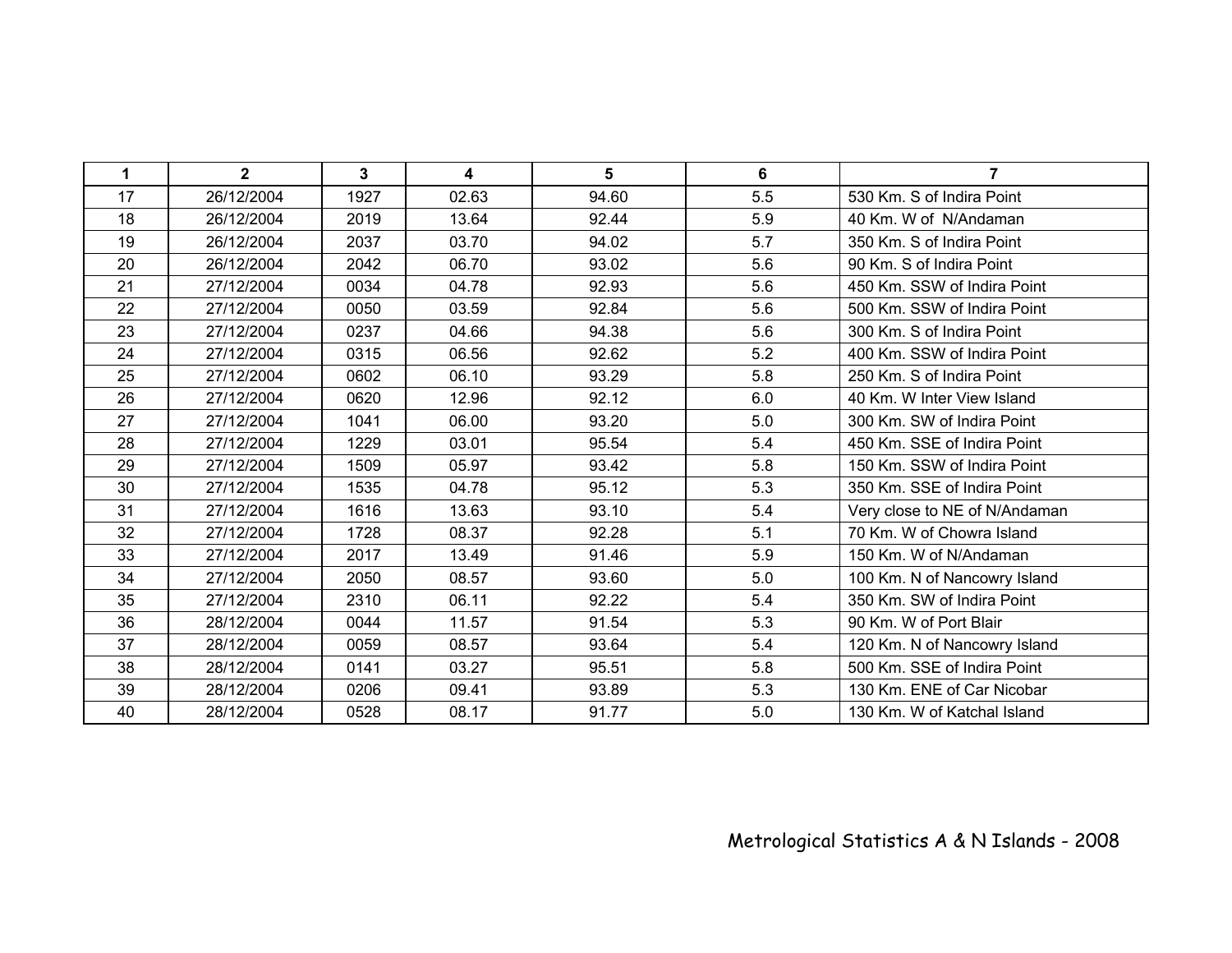| 1  | $\overline{2}$ | $\mathbf{3}$ | 4     | 5     | 6   | $\overline{7}$                |
|----|----------------|--------------|-------|-------|-----|-------------------------------|
| 17 | 26/12/2004     | 1927         | 02.63 | 94.60 | 5.5 | 530 Km. S of Indira Point     |
| 18 | 26/12/2004     | 2019         | 13.64 | 92.44 | 5.9 | 40 Km. W of N/Andaman         |
| 19 | 26/12/2004     | 2037         | 03.70 | 94.02 | 5.7 | 350 Km. S of Indira Point     |
| 20 | 26/12/2004     | 2042         | 06.70 | 93.02 | 5.6 | 90 Km. S of Indira Point      |
| 21 | 27/12/2004     | 0034         | 04.78 | 92.93 | 5.6 | 450 Km. SSW of Indira Point   |
| 22 | 27/12/2004     | 0050         | 03.59 | 92.84 | 5.6 | 500 Km. SSW of Indira Point   |
| 23 | 27/12/2004     | 0237         | 04.66 | 94.38 | 5.6 | 300 Km. S of Indira Point     |
| 24 | 27/12/2004     | 0315         | 06.56 | 92.62 | 5.2 | 400 Km. SSW of Indira Point   |
| 25 | 27/12/2004     | 0602         | 06.10 | 93.29 | 5.8 | 250 Km. S of Indira Point     |
| 26 | 27/12/2004     | 0620         | 12.96 | 92.12 | 6.0 | 40 Km. W Inter View Island    |
| 27 | 27/12/2004     | 1041         | 06.00 | 93.20 | 5.0 | 300 Km. SW of Indira Point    |
| 28 | 27/12/2004     | 1229         | 03.01 | 95.54 | 5.4 | 450 Km. SSE of Indira Point   |
| 29 | 27/12/2004     | 1509         | 05.97 | 93.42 | 5.8 | 150 Km. SSW of Indira Point   |
| 30 | 27/12/2004     | 1535         | 04.78 | 95.12 | 5.3 | 350 Km. SSE of Indira Point   |
| 31 | 27/12/2004     | 1616         | 13.63 | 93.10 | 5.4 | Very close to NE of N/Andaman |
| 32 | 27/12/2004     | 1728         | 08.37 | 92.28 | 5.1 | 70 Km. W of Chowra Island     |
| 33 | 27/12/2004     | 2017         | 13.49 | 91.46 | 5.9 | 150 Km. W of N/Andaman        |
| 34 | 27/12/2004     | 2050         | 08.57 | 93.60 | 5.0 | 100 Km. N of Nancowry Island  |
| 35 | 27/12/2004     | 2310         | 06.11 | 92.22 | 5.4 | 350 Km. SW of Indira Point    |
| 36 | 28/12/2004     | 0044         | 11.57 | 91.54 | 5.3 | 90 Km. W of Port Blair        |
| 37 | 28/12/2004     | 0059         | 08.57 | 93.64 | 5.4 | 120 Km. N of Nancowry Island  |
| 38 | 28/12/2004     | 0141         | 03.27 | 95.51 | 5.8 | 500 Km. SSE of Indira Point   |
| 39 | 28/12/2004     | 0206         | 09.41 | 93.89 | 5.3 | 130 Km. ENE of Car Nicobar    |
| 40 | 28/12/2004     | 0528         | 08.17 | 91.77 | 5.0 | 130 Km. W of Katchal Island   |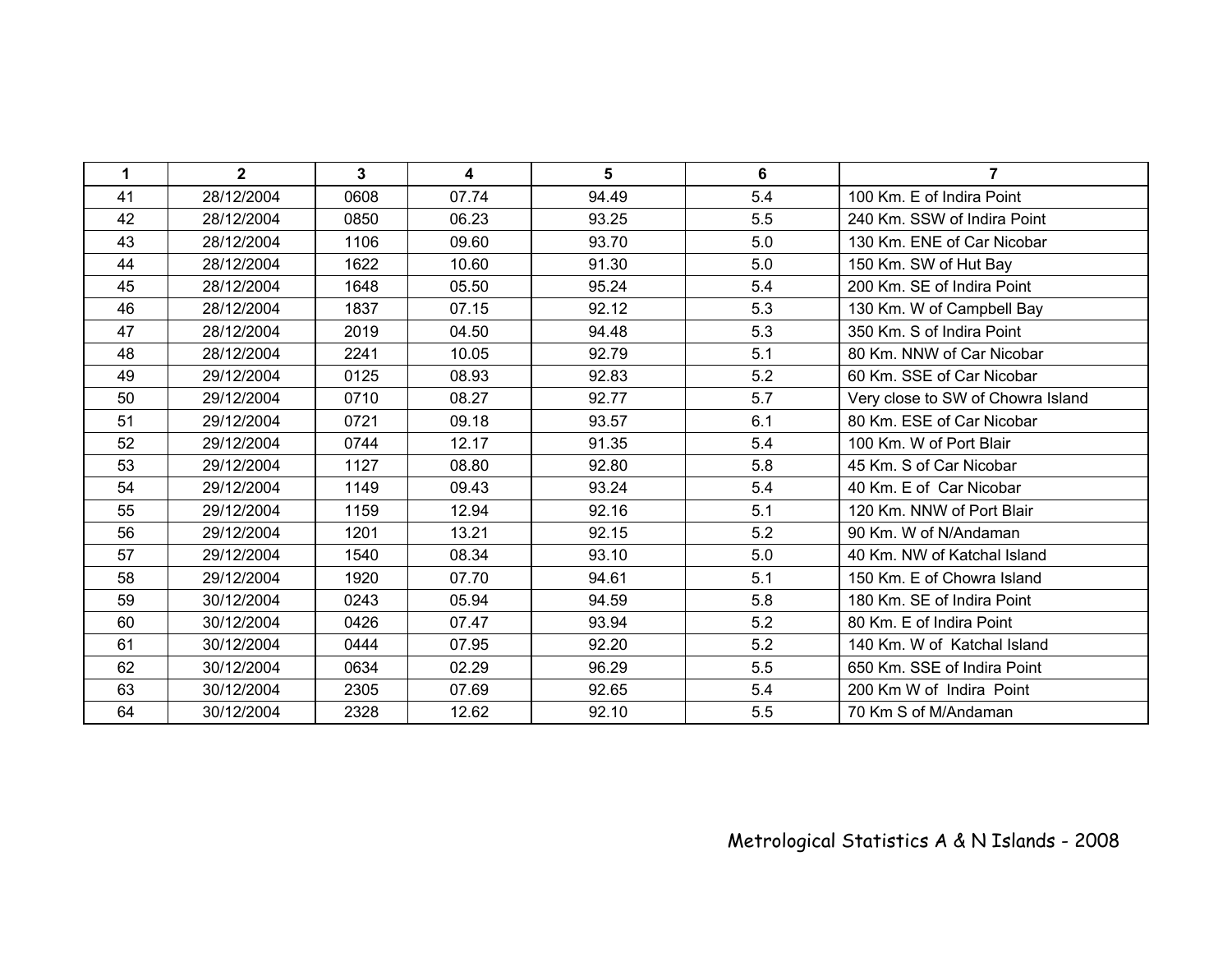| 1  | $\overline{2}$ | $\mathbf{3}$ | 4     | $5\phantom{.0}$ | 6   | $\overline{7}$                    |
|----|----------------|--------------|-------|-----------------|-----|-----------------------------------|
| 41 | 28/12/2004     | 0608         | 07.74 | 94.49           | 5.4 | 100 Km. E of Indira Point         |
| 42 | 28/12/2004     | 0850         | 06.23 | 93.25           | 5.5 | 240 Km. SSW of Indira Point       |
| 43 | 28/12/2004     | 1106         | 09.60 | 93.70           | 5.0 | 130 Km. ENE of Car Nicobar        |
| 44 | 28/12/2004     | 1622         | 10.60 | 91.30           | 5.0 | 150 Km. SW of Hut Bay             |
| 45 | 28/12/2004     | 1648         | 05.50 | 95.24           | 5.4 | 200 Km. SE of Indira Point        |
| 46 | 28/12/2004     | 1837         | 07.15 | 92.12           | 5.3 | 130 Km. W of Campbell Bay         |
| 47 | 28/12/2004     | 2019         | 04.50 | 94.48           | 5.3 | 350 Km. S of Indira Point         |
| 48 | 28/12/2004     | 2241         | 10.05 | 92.79           | 5.1 | 80 Km. NNW of Car Nicobar         |
| 49 | 29/12/2004     | 0125         | 08.93 | 92.83           | 5.2 | 60 Km. SSE of Car Nicobar         |
| 50 | 29/12/2004     | 0710         | 08.27 | 92.77           | 5.7 | Very close to SW of Chowra Island |
| 51 | 29/12/2004     | 0721         | 09.18 | 93.57           | 6.1 | 80 Km. ESE of Car Nicobar         |
| 52 | 29/12/2004     | 0744         | 12.17 | 91.35           | 5.4 | 100 Km. W of Port Blair           |
| 53 | 29/12/2004     | 1127         | 08.80 | 92.80           | 5.8 | 45 Km. S of Car Nicobar           |
| 54 | 29/12/2004     | 1149         | 09.43 | 93.24           | 5.4 | 40 Km. E of Car Nicobar           |
| 55 | 29/12/2004     | 1159         | 12.94 | 92.16           | 5.1 | 120 Km. NNW of Port Blair         |
| 56 | 29/12/2004     | 1201         | 13.21 | 92.15           | 5.2 | 90 Km. W of N/Andaman             |
| 57 | 29/12/2004     | 1540         | 08.34 | 93.10           | 5.0 | 40 Km. NW of Katchal Island       |
| 58 | 29/12/2004     | 1920         | 07.70 | 94.61           | 5.1 | 150 Km. E of Chowra Island        |
| 59 | 30/12/2004     | 0243         | 05.94 | 94.59           | 5.8 | 180 Km. SE of Indira Point        |
| 60 | 30/12/2004     | 0426         | 07.47 | 93.94           | 5.2 | 80 Km. E of Indira Point          |
| 61 | 30/12/2004     | 0444         | 07.95 | 92.20           | 5.2 | 140 Km. W of Katchal Island       |
| 62 | 30/12/2004     | 0634         | 02.29 | 96.29           | 5.5 | 650 Km. SSE of Indira Point       |
| 63 | 30/12/2004     | 2305         | 07.69 | 92.65           | 5.4 | 200 Km W of Indira Point          |
| 64 | 30/12/2004     | 2328         | 12.62 | 92.10           | 5.5 | 70 Km S of M/Andaman              |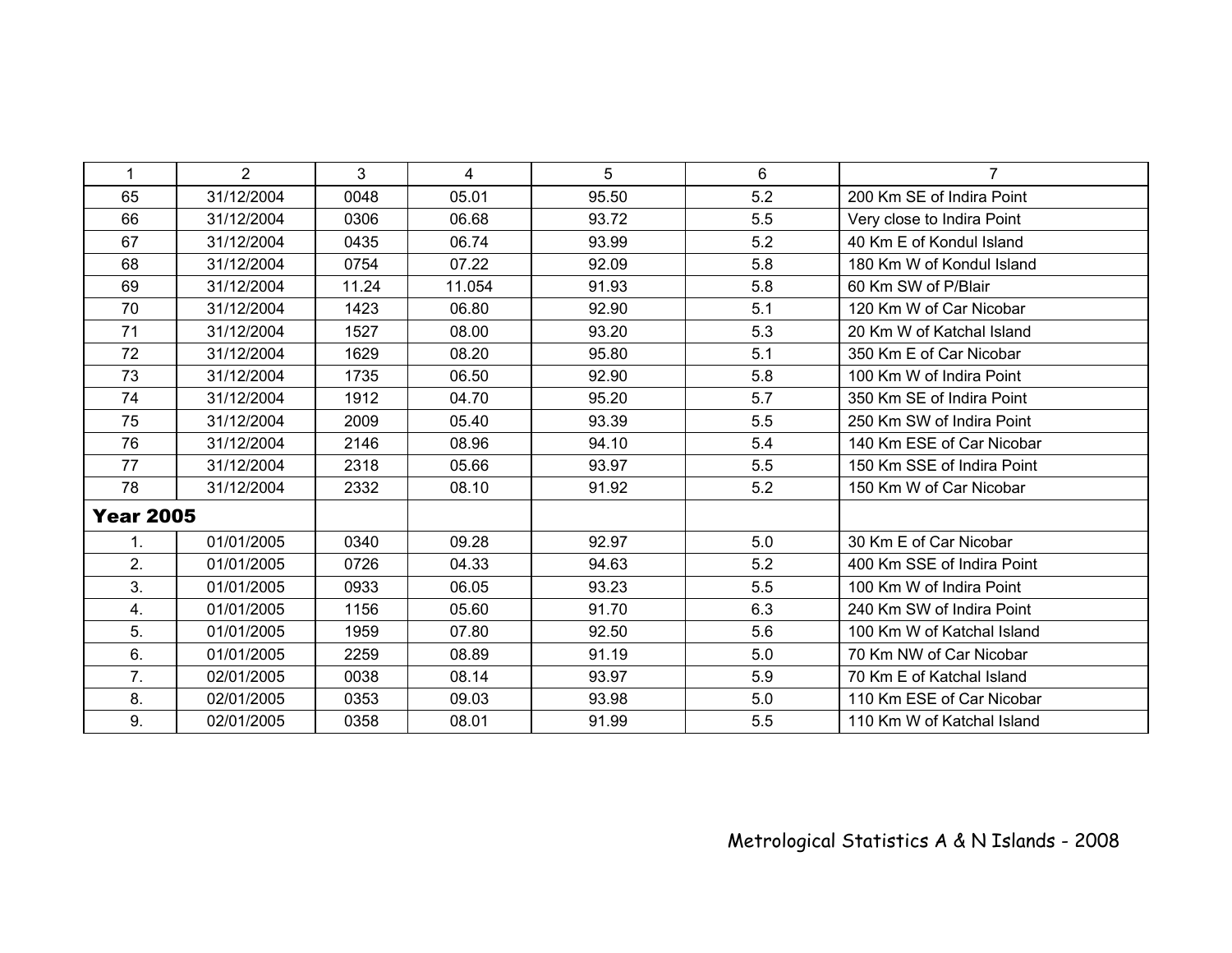| 1                | $\overline{2}$ | 3     | 4      | 5     | 6   | $\overline{7}$             |
|------------------|----------------|-------|--------|-------|-----|----------------------------|
| 65               | 31/12/2004     | 0048  | 05.01  | 95.50 | 5.2 | 200 Km SE of Indira Point  |
| 66               | 31/12/2004     | 0306  | 06.68  | 93.72 | 5.5 | Very close to Indira Point |
| 67               | 31/12/2004     | 0435  | 06.74  | 93.99 | 5.2 | 40 Km E of Kondul Island   |
| 68               | 31/12/2004     | 0754  | 07.22  | 92.09 | 5.8 | 180 Km W of Kondul Island  |
| 69               | 31/12/2004     | 11.24 | 11.054 | 91.93 | 5.8 | 60 Km SW of P/Blair        |
| 70               | 31/12/2004     | 1423  | 06.80  | 92.90 | 5.1 | 120 Km W of Car Nicobar    |
| 71               | 31/12/2004     | 1527  | 08.00  | 93.20 | 5.3 | 20 Km W of Katchal Island  |
| 72               | 31/12/2004     | 1629  | 08.20  | 95.80 | 5.1 | 350 Km E of Car Nicobar    |
| 73               | 31/12/2004     | 1735  | 06.50  | 92.90 | 5.8 | 100 Km W of Indira Point   |
| 74               | 31/12/2004     | 1912  | 04.70  | 95.20 | 5.7 | 350 Km SE of Indira Point  |
| 75               | 31/12/2004     | 2009  | 05.40  | 93.39 | 5.5 | 250 Km SW of Indira Point  |
| 76               | 31/12/2004     | 2146  | 08.96  | 94.10 | 5.4 | 140 Km ESE of Car Nicobar  |
| 77               | 31/12/2004     | 2318  | 05.66  | 93.97 | 5.5 | 150 Km SSE of Indira Point |
| 78               | 31/12/2004     | 2332  | 08.10  | 91.92 | 5.2 | 150 Km W of Car Nicobar    |
| <b>Year 2005</b> |                |       |        |       |     |                            |
| 1.               | 01/01/2005     | 0340  | 09.28  | 92.97 | 5.0 | 30 Km E of Car Nicobar     |
| 2.               | 01/01/2005     | 0726  | 04.33  | 94.63 | 5.2 | 400 Km SSE of Indira Point |
| 3.               | 01/01/2005     | 0933  | 06.05  | 93.23 | 5.5 | 100 Km W of Indira Point   |
| 4.               | 01/01/2005     | 1156  | 05.60  | 91.70 | 6.3 | 240 Km SW of Indira Point  |
| 5.               | 01/01/2005     | 1959  | 07.80  | 92.50 | 5.6 | 100 Km W of Katchal Island |
| 6.               | 01/01/2005     | 2259  | 08.89  | 91.19 | 5.0 | 70 Km NW of Car Nicobar    |
| 7.               | 02/01/2005     | 0038  | 08.14  | 93.97 | 5.9 | 70 Km E of Katchal Island  |
| 8.               | 02/01/2005     | 0353  | 09.03  | 93.98 | 5.0 | 110 Km ESE of Car Nicobar  |
| 9.               | 02/01/2005     | 0358  | 08.01  | 91.99 | 5.5 | 110 Km W of Katchal Island |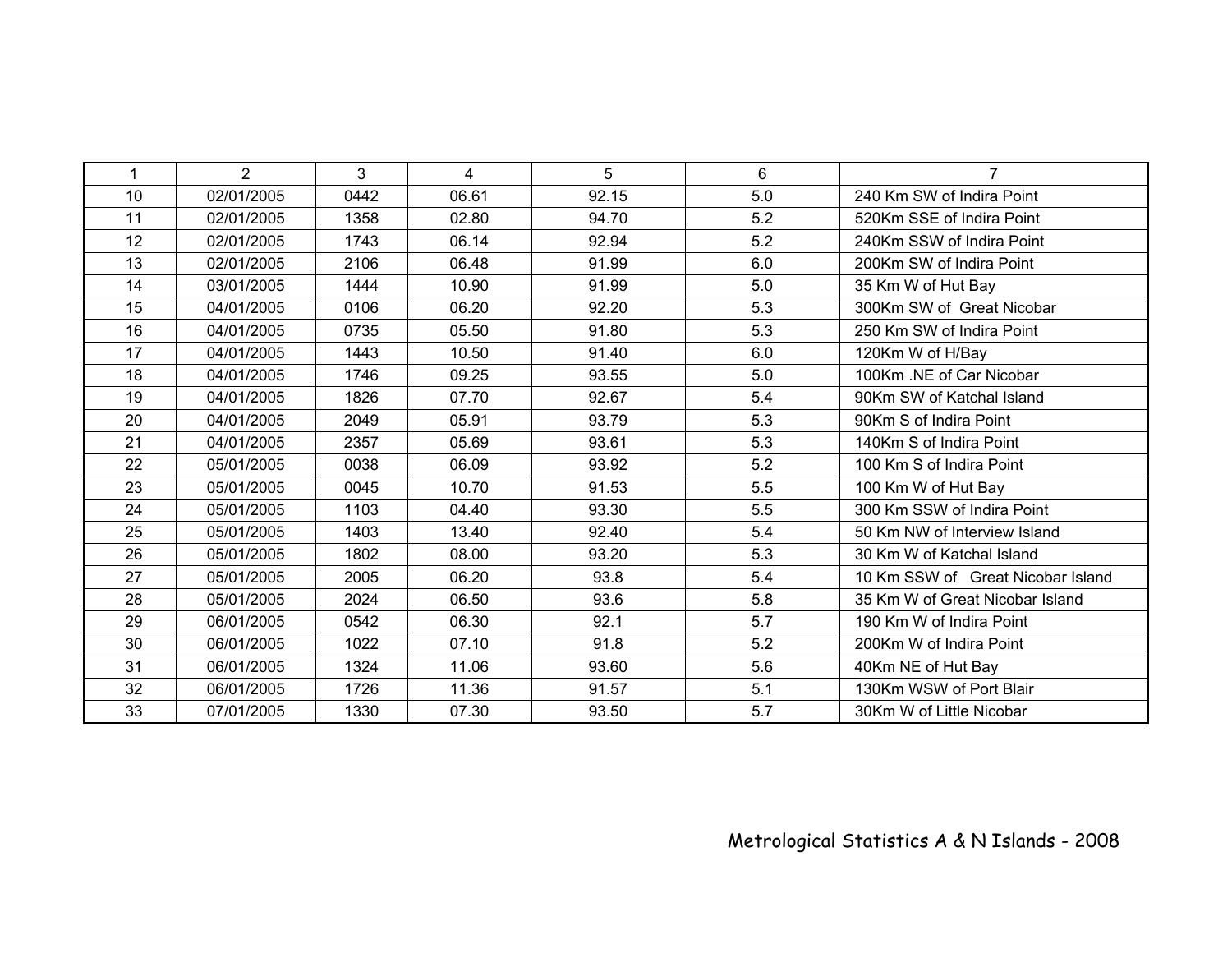| $\mathbf{1}$ | $\overline{2}$ | 3    | $\overline{4}$ | 5     | 6   | $\overline{7}$                    |
|--------------|----------------|------|----------------|-------|-----|-----------------------------------|
| 10           | 02/01/2005     | 0442 | 06.61          | 92.15 | 5.0 | 240 Km SW of Indira Point         |
| 11           | 02/01/2005     | 1358 | 02.80          | 94.70 | 5.2 | 520Km SSE of Indira Point         |
| 12           | 02/01/2005     | 1743 | 06.14          | 92.94 | 5.2 | 240Km SSW of Indira Point         |
| 13           | 02/01/2005     | 2106 | 06.48          | 91.99 | 6.0 | 200Km SW of Indira Point          |
| 14           | 03/01/2005     | 1444 | 10.90          | 91.99 | 5.0 | 35 Km W of Hut Bay                |
| 15           | 04/01/2005     | 0106 | 06.20          | 92.20 | 5.3 | 300Km SW of Great Nicobar         |
| 16           | 04/01/2005     | 0735 | 05.50          | 91.80 | 5.3 | 250 Km SW of Indira Point         |
| 17           | 04/01/2005     | 1443 | 10.50          | 91.40 | 6.0 | 120Km W of H/Bay                  |
| 18           | 04/01/2005     | 1746 | 09.25          | 93.55 | 5.0 | 100Km .NE of Car Nicobar          |
| 19           | 04/01/2005     | 1826 | 07.70          | 92.67 | 5.4 | 90Km SW of Katchal Island         |
| 20           | 04/01/2005     | 2049 | 05.91          | 93.79 | 5.3 | 90Km S of Indira Point            |
| 21           | 04/01/2005     | 2357 | 05.69          | 93.61 | 5.3 | 140Km S of Indira Point           |
| 22           | 05/01/2005     | 0038 | 06.09          | 93.92 | 5.2 | 100 Km S of Indira Point          |
| 23           | 05/01/2005     | 0045 | 10.70          | 91.53 | 5.5 | 100 Km W of Hut Bay               |
| 24           | 05/01/2005     | 1103 | 04.40          | 93.30 | 5.5 | 300 Km SSW of Indira Point        |
| 25           | 05/01/2005     | 1403 | 13.40          | 92.40 | 5.4 | 50 Km NW of Interview Island      |
| 26           | 05/01/2005     | 1802 | 08.00          | 93.20 | 5.3 | 30 Km W of Katchal Island         |
| 27           | 05/01/2005     | 2005 | 06.20          | 93.8  | 5.4 | 10 Km SSW of Great Nicobar Island |
| 28           | 05/01/2005     | 2024 | 06.50          | 93.6  | 5.8 | 35 Km W of Great Nicobar Island   |
| 29           | 06/01/2005     | 0542 | 06.30          | 92.1  | 5.7 | 190 Km W of Indira Point          |
| 30           | 06/01/2005     | 1022 | 07.10          | 91.8  | 5.2 | 200Km W of Indira Point           |
| 31           | 06/01/2005     | 1324 | 11.06          | 93.60 | 5.6 | 40Km NE of Hut Bay                |
| 32           | 06/01/2005     | 1726 | 11.36          | 91.57 | 5.1 | 130Km WSW of Port Blair           |
| 33           | 07/01/2005     | 1330 | 07.30          | 93.50 | 5.7 | 30Km W of Little Nicobar          |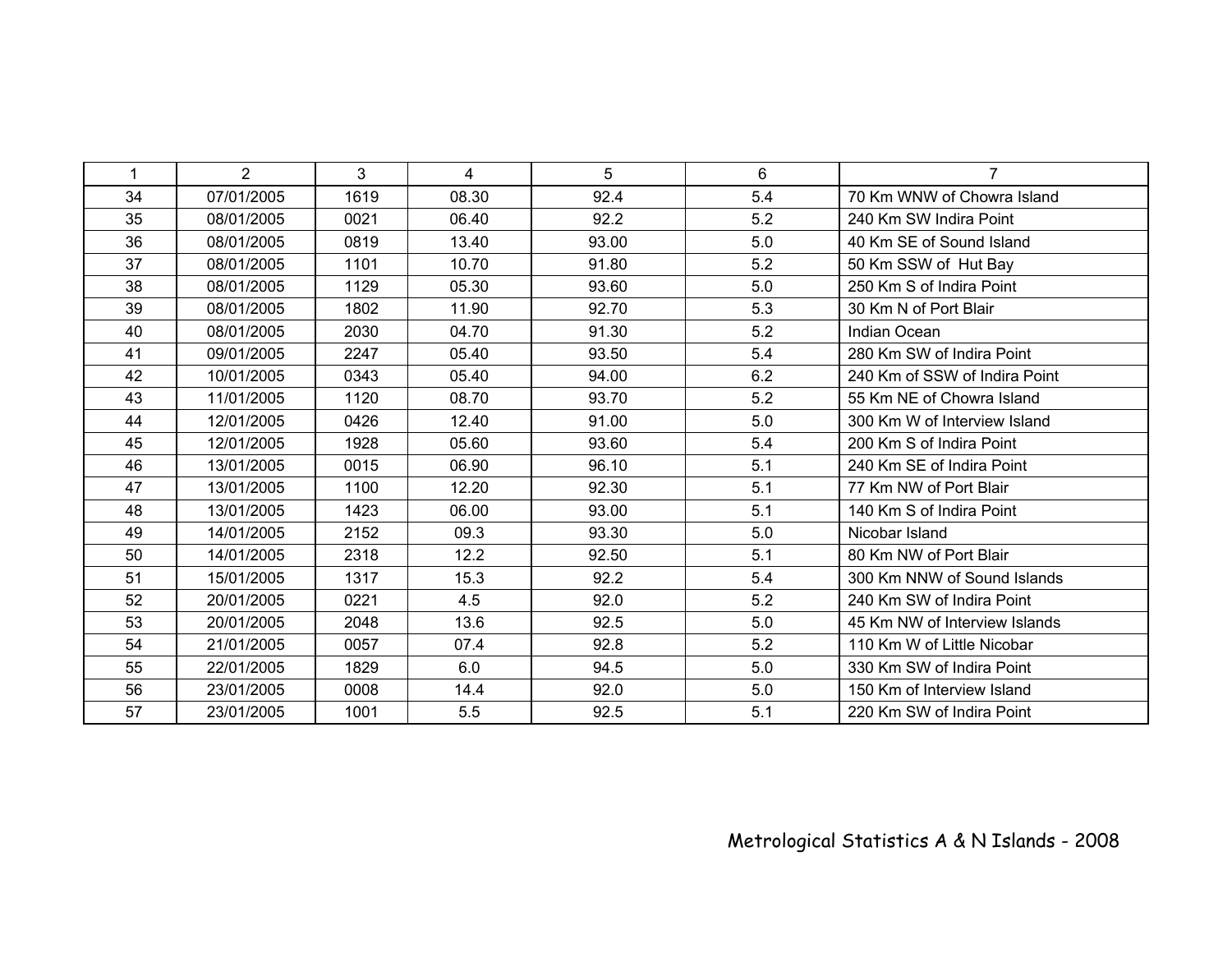| $\mathbf{1}$ | 2          | 3    | 4     | 5     | 6   | $\overline{7}$                |
|--------------|------------|------|-------|-------|-----|-------------------------------|
| 34           | 07/01/2005 | 1619 | 08.30 | 92.4  | 5.4 | 70 Km WNW of Chowra Island    |
| 35           | 08/01/2005 | 0021 | 06.40 | 92.2  | 5.2 | 240 Km SW Indira Point        |
| 36           | 08/01/2005 | 0819 | 13.40 | 93.00 | 5.0 | 40 Km SE of Sound Island      |
| 37           | 08/01/2005 | 1101 | 10.70 | 91.80 | 5.2 | 50 Km SSW of Hut Bay          |
| 38           | 08/01/2005 | 1129 | 05.30 | 93.60 | 5.0 | 250 Km S of Indira Point      |
| 39           | 08/01/2005 | 1802 | 11.90 | 92.70 | 5.3 | 30 Km N of Port Blair         |
| 40           | 08/01/2005 | 2030 | 04.70 | 91.30 | 5.2 | Indian Ocean                  |
| 41           | 09/01/2005 | 2247 | 05.40 | 93.50 | 5.4 | 280 Km SW of Indira Point     |
| 42           | 10/01/2005 | 0343 | 05.40 | 94.00 | 6.2 | 240 Km of SSW of Indira Point |
| 43           | 11/01/2005 | 1120 | 08.70 | 93.70 | 5.2 | 55 Km NE of Chowra Island     |
| 44           | 12/01/2005 | 0426 | 12.40 | 91.00 | 5.0 | 300 Km W of Interview Island  |
| 45           | 12/01/2005 | 1928 | 05.60 | 93.60 | 5.4 | 200 Km S of Indira Point      |
| 46           | 13/01/2005 | 0015 | 06.90 | 96.10 | 5.1 | 240 Km SE of Indira Point     |
| 47           | 13/01/2005 | 1100 | 12.20 | 92.30 | 5.1 | 77 Km NW of Port Blair        |
| 48           | 13/01/2005 | 1423 | 06.00 | 93.00 | 5.1 | 140 Km S of Indira Point      |
| 49           | 14/01/2005 | 2152 | 09.3  | 93.30 | 5.0 | Nicobar Island                |
| 50           | 14/01/2005 | 2318 | 12.2  | 92.50 | 5.1 | 80 Km NW of Port Blair        |
| 51           | 15/01/2005 | 1317 | 15.3  | 92.2  | 5.4 | 300 Km NNW of Sound Islands   |
| 52           | 20/01/2005 | 0221 | 4.5   | 92.0  | 5.2 | 240 Km SW of Indira Point     |
| 53           | 20/01/2005 | 2048 | 13.6  | 92.5  | 5.0 | 45 Km NW of Interview Islands |
| 54           | 21/01/2005 | 0057 | 07.4  | 92.8  | 5.2 | 110 Km W of Little Nicobar    |
| 55           | 22/01/2005 | 1829 | 6.0   | 94.5  | 5.0 | 330 Km SW of Indira Point     |
| 56           | 23/01/2005 | 0008 | 14.4  | 92.0  | 5.0 | 150 Km of Interview Island    |
| 57           | 23/01/2005 | 1001 | 5.5   | 92.5  | 5.1 | 220 Km SW of Indira Point     |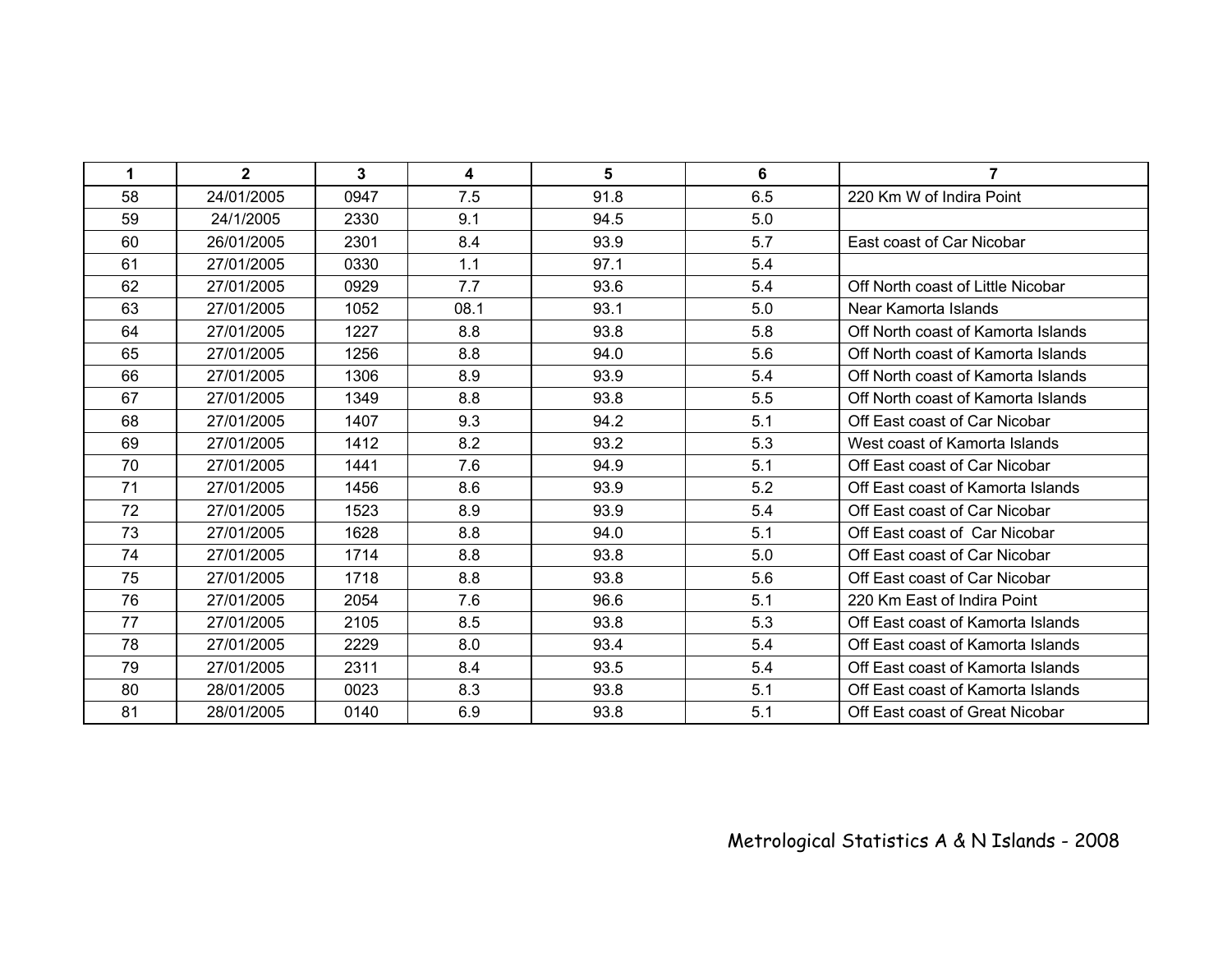| $\mathbf 1$ | $\mathbf{2}$ | $\mathbf{3}$ | 4    | 5    | 6   | $\overline{7}$                     |
|-------------|--------------|--------------|------|------|-----|------------------------------------|
| 58          | 24/01/2005   | 0947         | 7.5  | 91.8 | 6.5 | 220 Km W of Indira Point           |
| 59          | 24/1/2005    | 2330         | 9.1  | 94.5 | 5.0 |                                    |
| 60          | 26/01/2005   | 2301         | 8.4  | 93.9 | 5.7 | East coast of Car Nicobar          |
| 61          | 27/01/2005   | 0330         | 1.1  | 97.1 | 5.4 |                                    |
| 62          | 27/01/2005   | 0929         | 7.7  | 93.6 | 5.4 | Off North coast of Little Nicobar  |
| 63          | 27/01/2005   | 1052         | 08.1 | 93.1 | 5.0 | Near Kamorta Islands               |
| 64          | 27/01/2005   | 1227         | 8.8  | 93.8 | 5.8 | Off North coast of Kamorta Islands |
| 65          | 27/01/2005   | 1256         | 8.8  | 94.0 | 5.6 | Off North coast of Kamorta Islands |
| 66          | 27/01/2005   | 1306         | 8.9  | 93.9 | 5.4 | Off North coast of Kamorta Islands |
| 67          | 27/01/2005   | 1349         | 8.8  | 93.8 | 5.5 | Off North coast of Kamorta Islands |
| 68          | 27/01/2005   | 1407         | 9.3  | 94.2 | 5.1 | Off East coast of Car Nicobar      |
| 69          | 27/01/2005   | 1412         | 8.2  | 93.2 | 5.3 | West coast of Kamorta Islands      |
| 70          | 27/01/2005   | 1441         | 7.6  | 94.9 | 5.1 | Off East coast of Car Nicobar      |
| 71          | 27/01/2005   | 1456         | 8.6  | 93.9 | 5.2 | Off East coast of Kamorta Islands  |
| 72          | 27/01/2005   | 1523         | 8.9  | 93.9 | 5.4 | Off East coast of Car Nicobar      |
| 73          | 27/01/2005   | 1628         | 8.8  | 94.0 | 5.1 | Off East coast of Car Nicobar      |
| 74          | 27/01/2005   | 1714         | 8.8  | 93.8 | 5.0 | Off East coast of Car Nicobar      |
| 75          | 27/01/2005   | 1718         | 8.8  | 93.8 | 5.6 | Off East coast of Car Nicobar      |
| 76          | 27/01/2005   | 2054         | 7.6  | 96.6 | 5.1 | 220 Km East of Indira Point        |
| 77          | 27/01/2005   | 2105         | 8.5  | 93.8 | 5.3 | Off East coast of Kamorta Islands  |
| 78          | 27/01/2005   | 2229         | 8.0  | 93.4 | 5.4 | Off East coast of Kamorta Islands  |
| 79          | 27/01/2005   | 2311         | 8.4  | 93.5 | 5.4 | Off East coast of Kamorta Islands  |
| 80          | 28/01/2005   | 0023         | 8.3  | 93.8 | 5.1 | Off East coast of Kamorta Islands  |
| 81          | 28/01/2005   | 0140         | 6.9  | 93.8 | 5.1 | Off East coast of Great Nicobar    |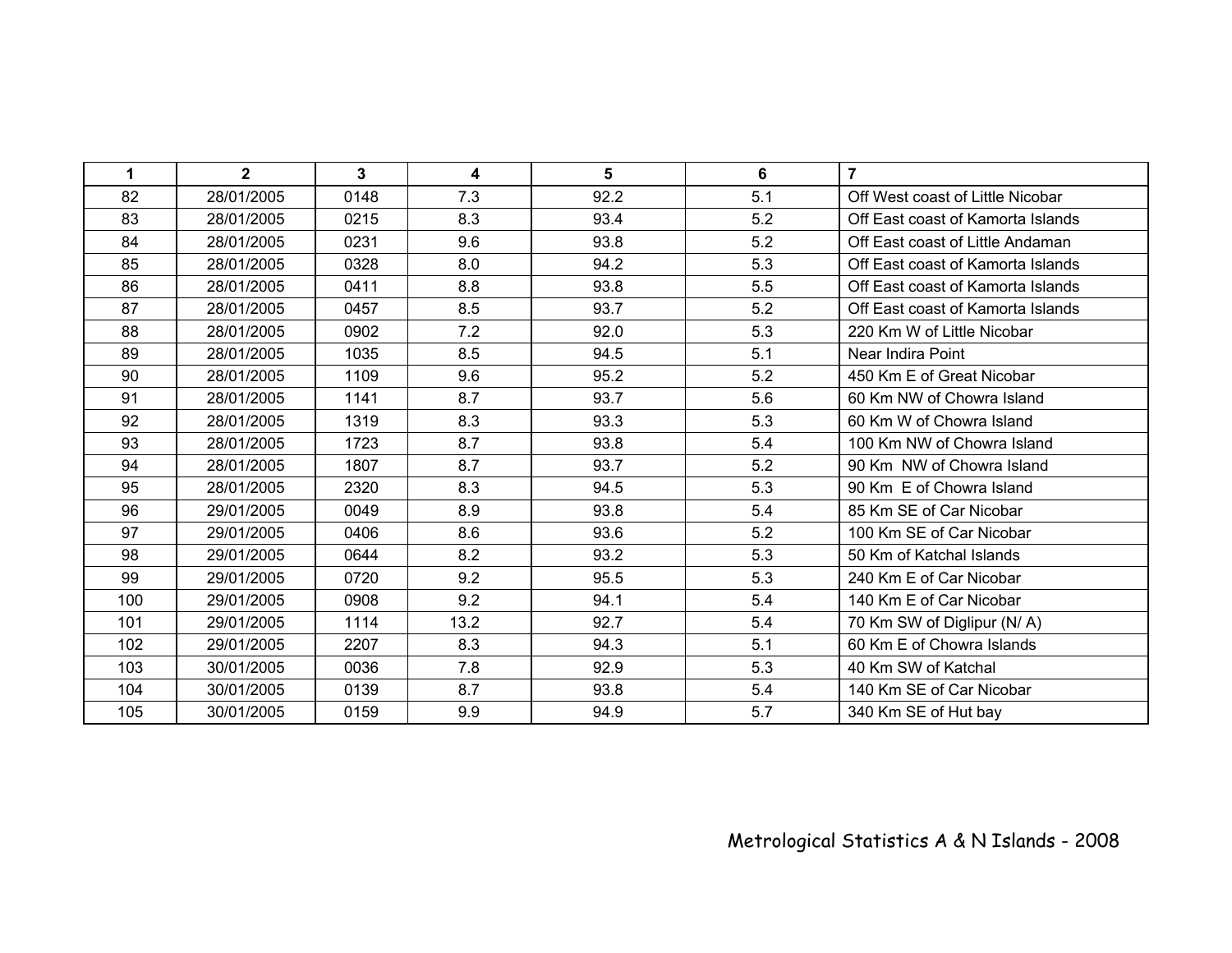| 1   | $\overline{2}$ | $\mathbf{3}$ | 4    | 5    | 6   | $\overline{7}$                    |
|-----|----------------|--------------|------|------|-----|-----------------------------------|
| 82  | 28/01/2005     | 0148         | 7.3  | 92.2 | 5.1 | Off West coast of Little Nicobar  |
| 83  | 28/01/2005     | 0215         | 8.3  | 93.4 | 5.2 | Off East coast of Kamorta Islands |
| 84  | 28/01/2005     | 0231         | 9.6  | 93.8 | 5.2 | Off East coast of Little Andaman  |
| 85  | 28/01/2005     | 0328         | 8.0  | 94.2 | 5.3 | Off East coast of Kamorta Islands |
| 86  | 28/01/2005     | 0411         | 8.8  | 93.8 | 5.5 | Off East coast of Kamorta Islands |
| 87  | 28/01/2005     | 0457         | 8.5  | 93.7 | 5.2 | Off East coast of Kamorta Islands |
| 88  | 28/01/2005     | 0902         | 7.2  | 92.0 | 5.3 | 220 Km W of Little Nicobar        |
| 89  | 28/01/2005     | 1035         | 8.5  | 94.5 | 5.1 | Near Indira Point                 |
| 90  | 28/01/2005     | 1109         | 9.6  | 95.2 | 5.2 | 450 Km E of Great Nicobar         |
| 91  | 28/01/2005     | 1141         | 8.7  | 93.7 | 5.6 | 60 Km NW of Chowra Island         |
| 92  | 28/01/2005     | 1319         | 8.3  | 93.3 | 5.3 | 60 Km W of Chowra Island          |
| 93  | 28/01/2005     | 1723         | 8.7  | 93.8 | 5.4 | 100 Km NW of Chowra Island        |
| 94  | 28/01/2005     | 1807         | 8.7  | 93.7 | 5.2 | 90 Km NW of Chowra Island         |
| 95  | 28/01/2005     | 2320         | 8.3  | 94.5 | 5.3 | 90 Km E of Chowra Island          |
| 96  | 29/01/2005     | 0049         | 8.9  | 93.8 | 5.4 | 85 Km SE of Car Nicobar           |
| 97  | 29/01/2005     | 0406         | 8.6  | 93.6 | 5.2 | 100 Km SE of Car Nicobar          |
| 98  | 29/01/2005     | 0644         | 8.2  | 93.2 | 5.3 | 50 Km of Katchal Islands          |
| 99  | 29/01/2005     | 0720         | 9.2  | 95.5 | 5.3 | 240 Km E of Car Nicobar           |
| 100 | 29/01/2005     | 0908         | 9.2  | 94.1 | 5.4 | 140 Km E of Car Nicobar           |
| 101 | 29/01/2005     | 1114         | 13.2 | 92.7 | 5.4 | 70 Km SW of Diglipur (N/A)        |
| 102 | 29/01/2005     | 2207         | 8.3  | 94.3 | 5.1 | 60 Km E of Chowra Islands         |
| 103 | 30/01/2005     | 0036         | 7.8  | 92.9 | 5.3 | 40 Km SW of Katchal               |
| 104 | 30/01/2005     | 0139         | 8.7  | 93.8 | 5.4 | 140 Km SE of Car Nicobar          |
| 105 | 30/01/2005     | 0159         | 9.9  | 94.9 | 5.7 | 340 Km SE of Hut bay              |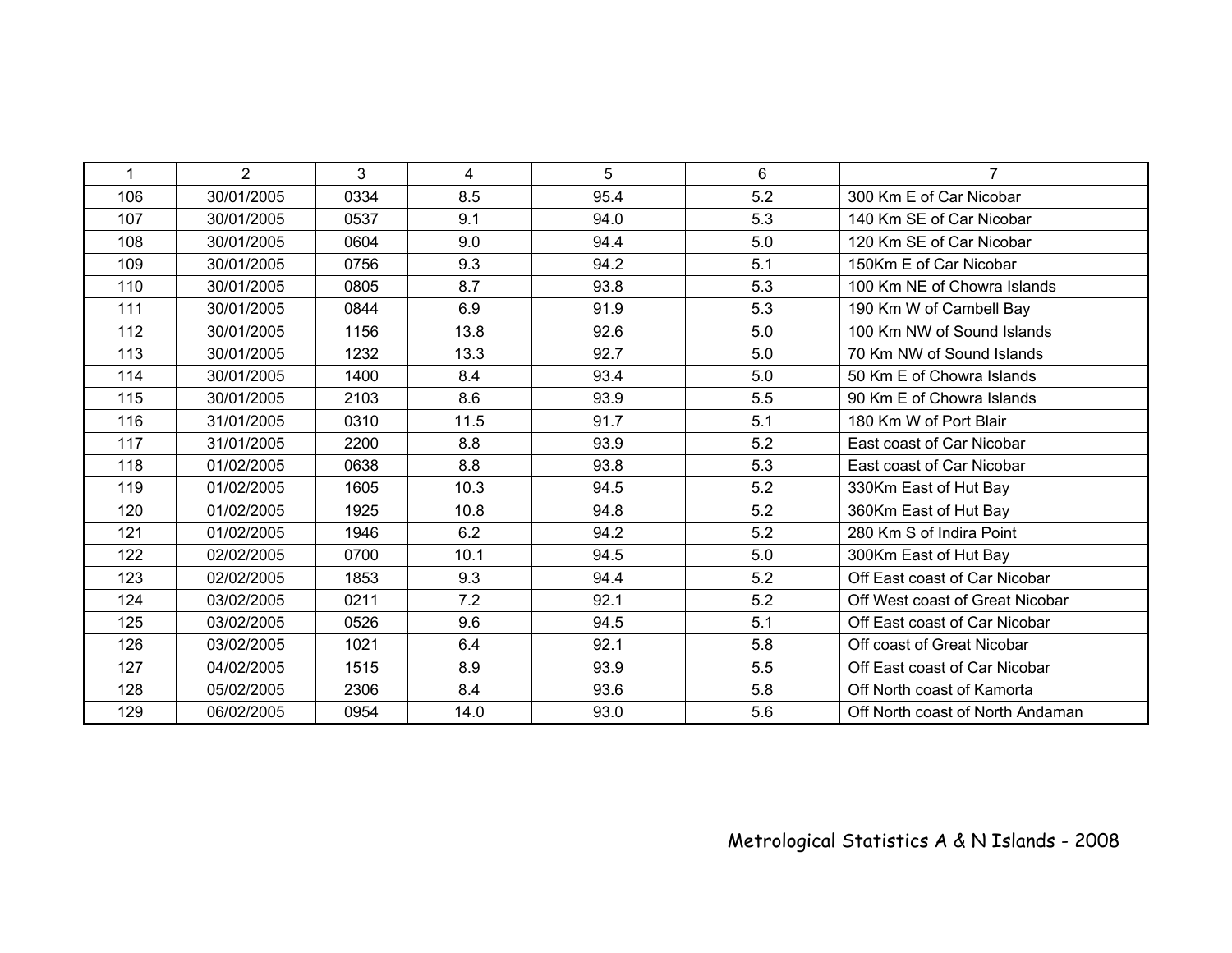| 1   | $\overline{2}$ | 3    | $\overline{4}$ | 5    | 6   | $\overline{7}$                   |
|-----|----------------|------|----------------|------|-----|----------------------------------|
| 106 | 30/01/2005     | 0334 | 8.5            | 95.4 | 5.2 | 300 Km E of Car Nicobar          |
| 107 | 30/01/2005     | 0537 | 9.1            | 94.0 | 5.3 | 140 Km SE of Car Nicobar         |
| 108 | 30/01/2005     | 0604 | 9.0            | 94.4 | 5.0 | 120 Km SE of Car Nicobar         |
| 109 | 30/01/2005     | 0756 | 9.3            | 94.2 | 5.1 | 150Km E of Car Nicobar           |
| 110 | 30/01/2005     | 0805 | 8.7            | 93.8 | 5.3 | 100 Km NE of Chowra Islands      |
| 111 | 30/01/2005     | 0844 | 6.9            | 91.9 | 5.3 | 190 Km W of Cambell Bay          |
| 112 | 30/01/2005     | 1156 | 13.8           | 92.6 | 5.0 | 100 Km NW of Sound Islands       |
| 113 | 30/01/2005     | 1232 | 13.3           | 92.7 | 5.0 | 70 Km NW of Sound Islands        |
| 114 | 30/01/2005     | 1400 | 8.4            | 93.4 | 5.0 | 50 Km E of Chowra Islands        |
| 115 | 30/01/2005     | 2103 | 8.6            | 93.9 | 5.5 | 90 Km E of Chowra Islands        |
| 116 | 31/01/2005     | 0310 | 11.5           | 91.7 | 5.1 | 180 Km W of Port Blair           |
| 117 | 31/01/2005     | 2200 | 8.8            | 93.9 | 5.2 | East coast of Car Nicobar        |
| 118 | 01/02/2005     | 0638 | 8.8            | 93.8 | 5.3 | East coast of Car Nicobar        |
| 119 | 01/02/2005     | 1605 | 10.3           | 94.5 | 5.2 | 330Km East of Hut Bay            |
| 120 | 01/02/2005     | 1925 | 10.8           | 94.8 | 5.2 | 360Km East of Hut Bay            |
| 121 | 01/02/2005     | 1946 | 6.2            | 94.2 | 5.2 | 280 Km S of Indira Point         |
| 122 | 02/02/2005     | 0700 | 10.1           | 94.5 | 5.0 | 300Km East of Hut Bay            |
| 123 | 02/02/2005     | 1853 | 9.3            | 94.4 | 5.2 | Off East coast of Car Nicobar    |
| 124 | 03/02/2005     | 0211 | 7.2            | 92.1 | 5.2 | Off West coast of Great Nicobar  |
| 125 | 03/02/2005     | 0526 | 9.6            | 94.5 | 5.1 | Off East coast of Car Nicobar    |
| 126 | 03/02/2005     | 1021 | 6.4            | 92.1 | 5.8 | Off coast of Great Nicobar       |
| 127 | 04/02/2005     | 1515 | 8.9            | 93.9 | 5.5 | Off East coast of Car Nicobar    |
| 128 | 05/02/2005     | 2306 | 8.4            | 93.6 | 5.8 | Off North coast of Kamorta       |
| 129 | 06/02/2005     | 0954 | 14.0           | 93.0 | 5.6 | Off North coast of North Andaman |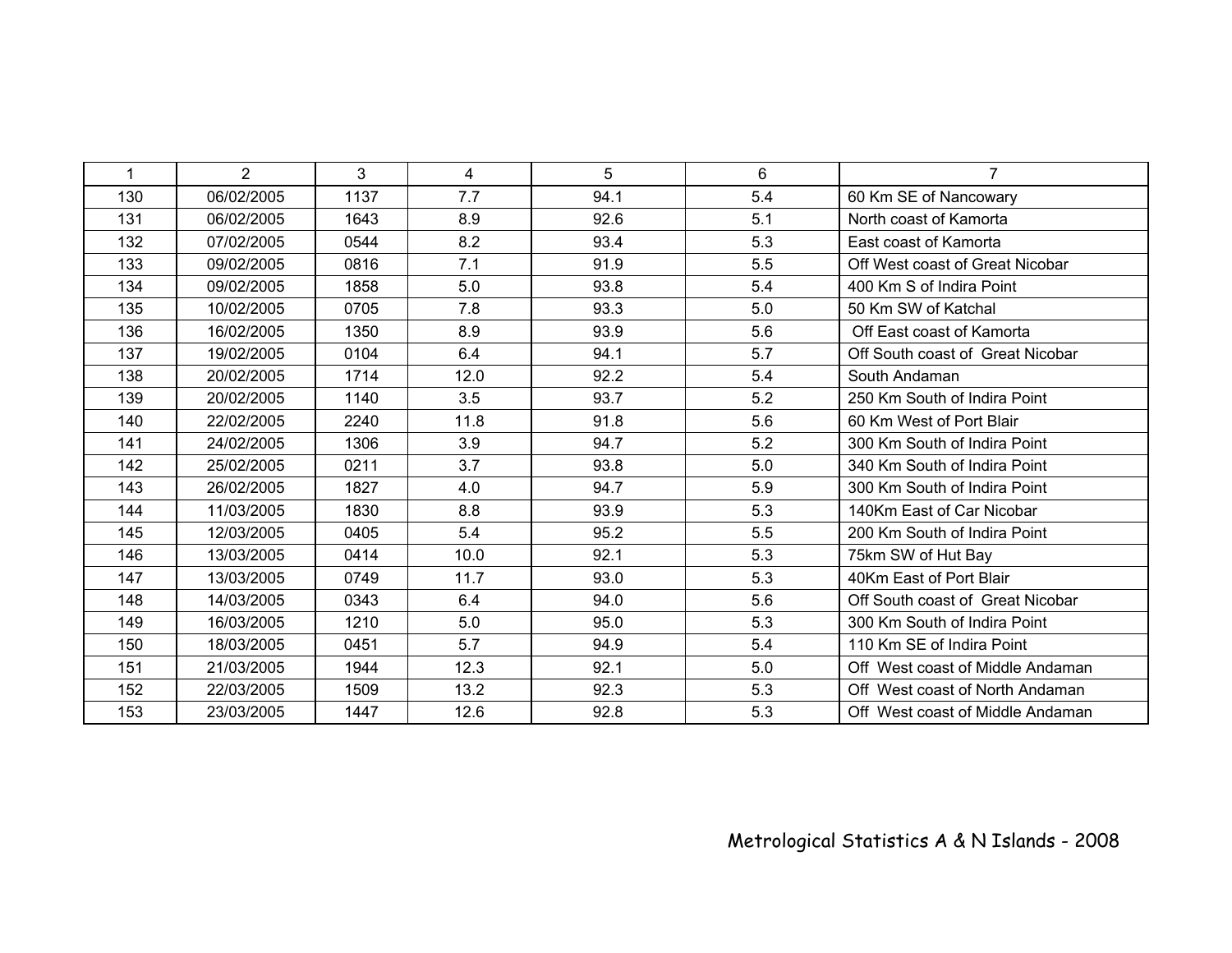| 1   | $\overline{2}$ | 3    | 4    | 5    | 6   | $\overline{7}$                   |
|-----|----------------|------|------|------|-----|----------------------------------|
| 130 | 06/02/2005     | 1137 | 7.7  | 94.1 | 5.4 | 60 Km SE of Nancowary            |
| 131 | 06/02/2005     | 1643 | 8.9  | 92.6 | 5.1 | North coast of Kamorta           |
| 132 | 07/02/2005     | 0544 | 8.2  | 93.4 | 5.3 | East coast of Kamorta            |
| 133 | 09/02/2005     | 0816 | 7.1  | 91.9 | 5.5 | Off West coast of Great Nicobar  |
| 134 | 09/02/2005     | 1858 | 5.0  | 93.8 | 5.4 | 400 Km S of Indira Point         |
| 135 | 10/02/2005     | 0705 | 7.8  | 93.3 | 5.0 | 50 Km SW of Katchal              |
| 136 | 16/02/2005     | 1350 | 8.9  | 93.9 | 5.6 | Off East coast of Kamorta        |
| 137 | 19/02/2005     | 0104 | 6.4  | 94.1 | 5.7 | Off South coast of Great Nicobar |
| 138 | 20/02/2005     | 1714 | 12.0 | 92.2 | 5.4 | South Andaman                    |
| 139 | 20/02/2005     | 1140 | 3.5  | 93.7 | 5.2 | 250 Km South of Indira Point     |
| 140 | 22/02/2005     | 2240 | 11.8 | 91.8 | 5.6 | 60 Km West of Port Blair         |
| 141 | 24/02/2005     | 1306 | 3.9  | 94.7 | 5.2 | 300 Km South of Indira Point     |
| 142 | 25/02/2005     | 0211 | 3.7  | 93.8 | 5.0 | 340 Km South of Indira Point     |
| 143 | 26/02/2005     | 1827 | 4.0  | 94.7 | 5.9 | 300 Km South of Indira Point     |
| 144 | 11/03/2005     | 1830 | 8.8  | 93.9 | 5.3 | 140Km East of Car Nicobar        |
| 145 | 12/03/2005     | 0405 | 5.4  | 95.2 | 5.5 | 200 Km South of Indira Point     |
| 146 | 13/03/2005     | 0414 | 10.0 | 92.1 | 5.3 | 75km SW of Hut Bay               |
| 147 | 13/03/2005     | 0749 | 11.7 | 93.0 | 5.3 | 40Km East of Port Blair          |
| 148 | 14/03/2005     | 0343 | 6.4  | 94.0 | 5.6 | Off South coast of Great Nicobar |
| 149 | 16/03/2005     | 1210 | 5.0  | 95.0 | 5.3 | 300 Km South of Indira Point     |
| 150 | 18/03/2005     | 0451 | 5.7  | 94.9 | 5.4 | 110 Km SE of Indira Point        |
| 151 | 21/03/2005     | 1944 | 12.3 | 92.1 | 5.0 | Off West coast of Middle Andaman |
| 152 | 22/03/2005     | 1509 | 13.2 | 92.3 | 5.3 | Off West coast of North Andaman  |
| 153 | 23/03/2005     | 1447 | 12.6 | 92.8 | 5.3 | Off West coast of Middle Andaman |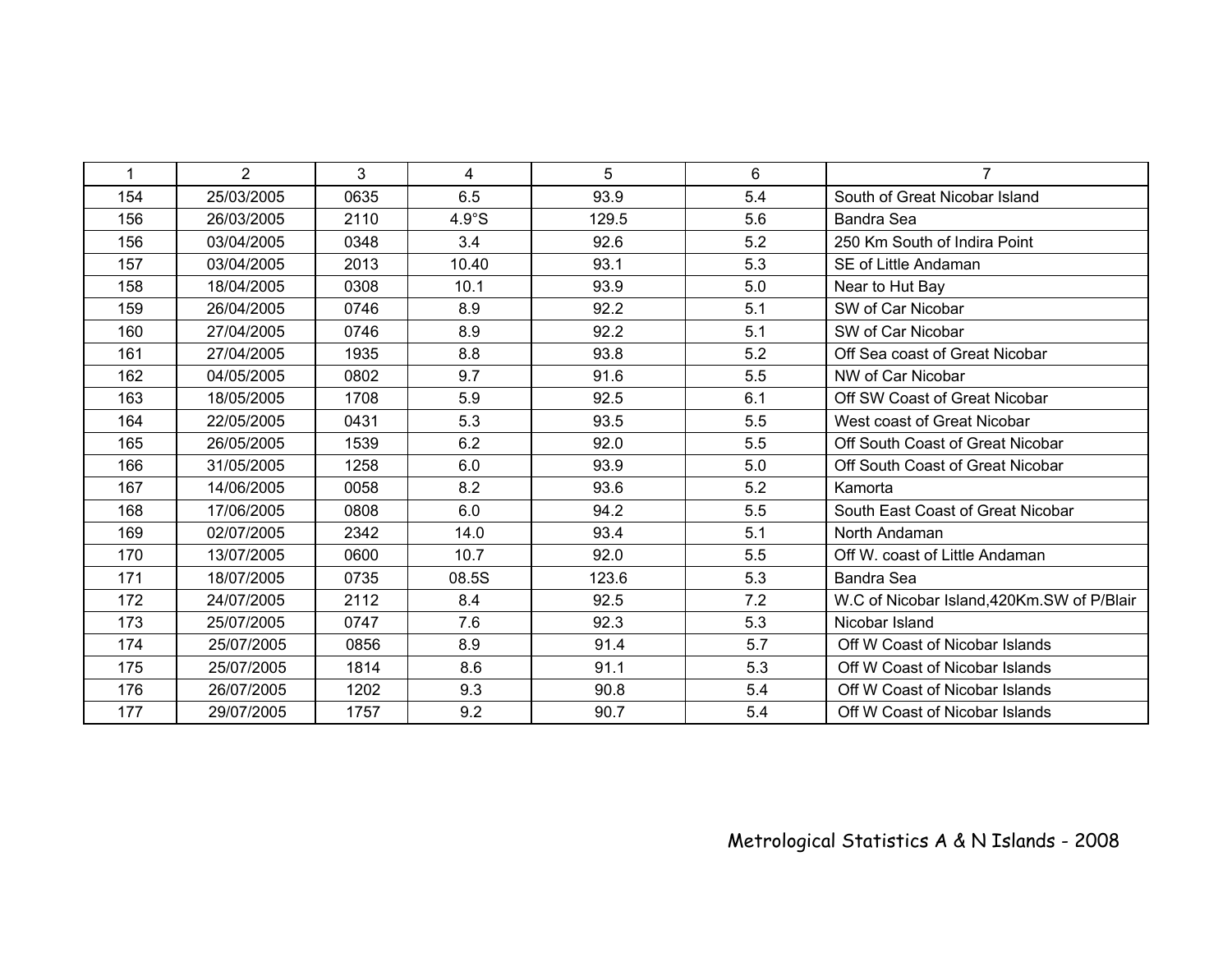| 1   | $\overline{2}$ | 3    | 4     | 5     | 6   | $\overline{7}$                              |
|-----|----------------|------|-------|-------|-----|---------------------------------------------|
| 154 | 25/03/2005     | 0635 | 6.5   | 93.9  | 5.4 | South of Great Nicobar Island               |
| 156 | 26/03/2005     | 2110 | 4.9°S | 129.5 | 5.6 | <b>Bandra Sea</b>                           |
| 156 | 03/04/2005     | 0348 | 3.4   | 92.6  | 5.2 | 250 Km South of Indira Point                |
| 157 | 03/04/2005     | 2013 | 10.40 | 93.1  | 5.3 | SE of Little Andaman                        |
| 158 | 18/04/2005     | 0308 | 10.1  | 93.9  | 5.0 | Near to Hut Bay                             |
| 159 | 26/04/2005     | 0746 | 8.9   | 92.2  | 5.1 | SW of Car Nicobar                           |
| 160 | 27/04/2005     | 0746 | 8.9   | 92.2  | 5.1 | SW of Car Nicobar                           |
| 161 | 27/04/2005     | 1935 | 8.8   | 93.8  | 5.2 | Off Sea coast of Great Nicobar              |
| 162 | 04/05/2005     | 0802 | 9.7   | 91.6  | 5.5 | NW of Car Nicobar                           |
| 163 | 18/05/2005     | 1708 | 5.9   | 92.5  | 6.1 | Off SW Coast of Great Nicobar               |
| 164 | 22/05/2005     | 0431 | 5.3   | 93.5  | 5.5 | West coast of Great Nicobar                 |
| 165 | 26/05/2005     | 1539 | 6.2   | 92.0  | 5.5 | Off South Coast of Great Nicobar            |
| 166 | 31/05/2005     | 1258 | 6.0   | 93.9  | 5.0 | Off South Coast of Great Nicobar            |
| 167 | 14/06/2005     | 0058 | 8.2   | 93.6  | 5.2 | Kamorta                                     |
| 168 | 17/06/2005     | 0808 | 6.0   | 94.2  | 5.5 | South East Coast of Great Nicobar           |
| 169 | 02/07/2005     | 2342 | 14.0  | 93.4  | 5.1 | North Andaman                               |
| 170 | 13/07/2005     | 0600 | 10.7  | 92.0  | 5.5 | Off W. coast of Little Andaman              |
| 171 | 18/07/2005     | 0735 | 08.5S | 123.6 | 5.3 | <b>Bandra Sea</b>                           |
| 172 | 24/07/2005     | 2112 | 8.4   | 92.5  | 7.2 | W.C of Nicobar Island, 420Km. SW of P/Blair |
| 173 | 25/07/2005     | 0747 | 7.6   | 92.3  | 5.3 | Nicobar Island                              |
| 174 | 25/07/2005     | 0856 | 8.9   | 91.4  | 5.7 | Off W Coast of Nicobar Islands              |
| 175 | 25/07/2005     | 1814 | 8.6   | 91.1  | 5.3 | Off W Coast of Nicobar Islands              |
| 176 | 26/07/2005     | 1202 | 9.3   | 90.8  | 5.4 | Off W Coast of Nicobar Islands              |
| 177 | 29/07/2005     | 1757 | 9.2   | 90.7  | 5.4 | Off W Coast of Nicobar Islands              |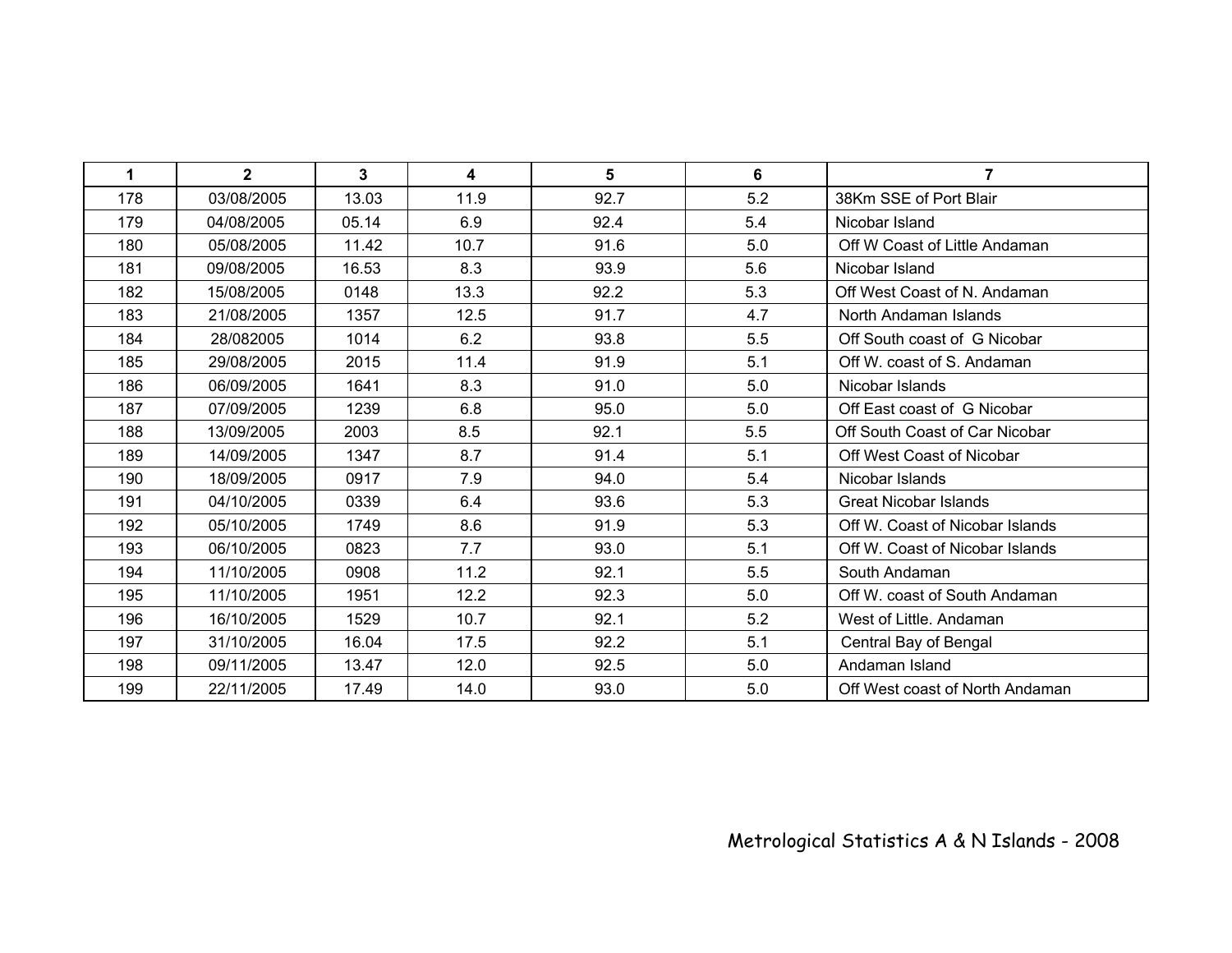| 1   | $\mathbf{2}$ | $\mathbf{3}$ | 4    | 5    | 6   | $\overline{7}$                  |
|-----|--------------|--------------|------|------|-----|---------------------------------|
| 178 | 03/08/2005   | 13.03        | 11.9 | 92.7 | 5.2 | 38Km SSE of Port Blair          |
| 179 | 04/08/2005   | 05.14        | 6.9  | 92.4 | 5.4 | Nicobar Island                  |
| 180 | 05/08/2005   | 11.42        | 10.7 | 91.6 | 5.0 | Off W Coast of Little Andaman   |
| 181 | 09/08/2005   | 16.53        | 8.3  | 93.9 | 5.6 | Nicobar Island                  |
| 182 | 15/08/2005   | 0148         | 13.3 | 92.2 | 5.3 | Off West Coast of N. Andaman    |
| 183 | 21/08/2005   | 1357         | 12.5 | 91.7 | 4.7 | North Andaman Islands           |
| 184 | 28/082005    | 1014         | 6.2  | 93.8 | 5.5 | Off South coast of G Nicobar    |
| 185 | 29/08/2005   | 2015         | 11.4 | 91.9 | 5.1 | Off W. coast of S. Andaman      |
| 186 | 06/09/2005   | 1641         | 8.3  | 91.0 | 5.0 | Nicobar Islands                 |
| 187 | 07/09/2005   | 1239         | 6.8  | 95.0 | 5.0 | Off East coast of G Nicobar     |
| 188 | 13/09/2005   | 2003         | 8.5  | 92.1 | 5.5 | Off South Coast of Car Nicobar  |
| 189 | 14/09/2005   | 1347         | 8.7  | 91.4 | 5.1 | Off West Coast of Nicobar       |
| 190 | 18/09/2005   | 0917         | 7.9  | 94.0 | 5.4 | Nicobar Islands                 |
| 191 | 04/10/2005   | 0339         | 6.4  | 93.6 | 5.3 | <b>Great Nicobar Islands</b>    |
| 192 | 05/10/2005   | 1749         | 8.6  | 91.9 | 5.3 | Off W. Coast of Nicobar Islands |
| 193 | 06/10/2005   | 0823         | 7.7  | 93.0 | 5.1 | Off W. Coast of Nicobar Islands |
| 194 | 11/10/2005   | 0908         | 11.2 | 92.1 | 5.5 | South Andaman                   |
| 195 | 11/10/2005   | 1951         | 12.2 | 92.3 | 5.0 | Off W. coast of South Andaman   |
| 196 | 16/10/2005   | 1529         | 10.7 | 92.1 | 5.2 | West of Little, Andaman         |
| 197 | 31/10/2005   | 16.04        | 17.5 | 92.2 | 5.1 | Central Bay of Bengal           |
| 198 | 09/11/2005   | 13.47        | 12.0 | 92.5 | 5.0 | Andaman Island                  |
| 199 | 22/11/2005   | 17.49        | 14.0 | 93.0 | 5.0 | Off West coast of North Andaman |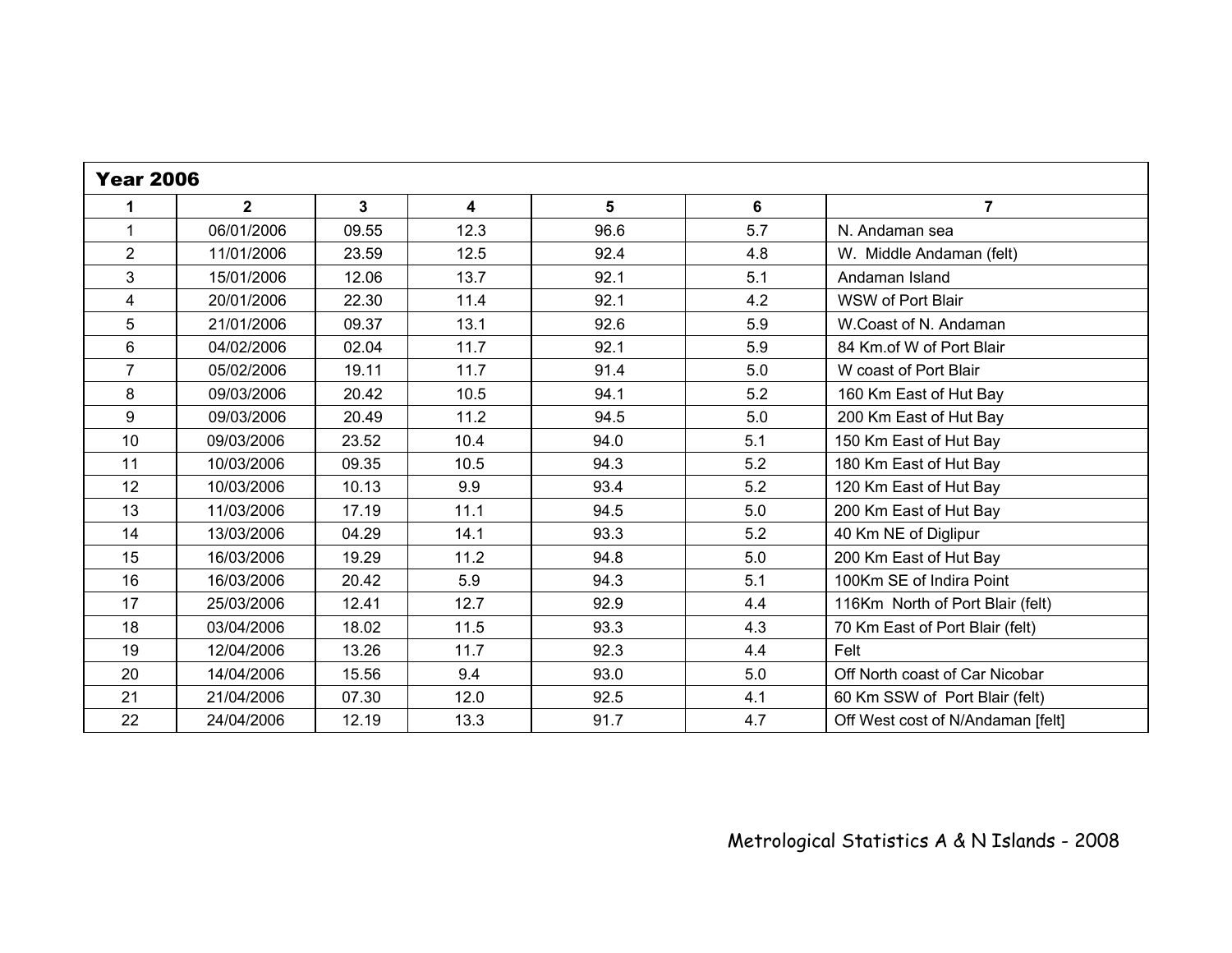| <b>Year 2006</b>        |                |       |        |      |     |                                   |  |
|-------------------------|----------------|-------|--------|------|-----|-----------------------------------|--|
| 1                       | $\overline{2}$ | 3     | 4      | 5    | 6   | $\overline{7}$                    |  |
| 1                       | 06/01/2006     | 09.55 | 12.3   | 96.6 | 5.7 | N. Andaman sea                    |  |
| $\overline{2}$          | 11/01/2006     | 23.59 | 12.5   | 92.4 | 4.8 | W. Middle Andaman (felt)          |  |
| 3                       | 15/01/2006     | 12.06 | 13.7   | 92.1 | 5.1 | Andaman Island                    |  |
| $\overline{\mathbf{4}}$ | 20/01/2006     | 22.30 | 11.4   | 92.1 | 4.2 | WSW of Port Blair                 |  |
| 5                       | 21/01/2006     | 09.37 | 13.1   | 92.6 | 5.9 | W.Coast of N. Andaman             |  |
| $6\phantom{a}$          | 04/02/2006     | 02.04 | $11.7$ | 92.1 | 5.9 | 84 Km.of W of Port Blair          |  |
| $\overline{7}$          | 05/02/2006     | 19.11 | 11.7   | 91.4 | 5.0 | W coast of Port Blair             |  |
| 8                       | 09/03/2006     | 20.42 | 10.5   | 94.1 | 5.2 | 160 Km East of Hut Bay            |  |
| $\boldsymbol{9}$        | 09/03/2006     | 20.49 | 11.2   | 94.5 | 5.0 | 200 Km East of Hut Bay            |  |
| 10                      | 09/03/2006     | 23.52 | 10.4   | 94.0 | 5.1 | 150 Km East of Hut Bay            |  |
| 11                      | 10/03/2006     | 09.35 | 10.5   | 94.3 | 5.2 | 180 Km East of Hut Bay            |  |
| 12                      | 10/03/2006     | 10.13 | 9.9    | 93.4 | 5.2 | 120 Km East of Hut Bay            |  |
| 13                      | 11/03/2006     | 17.19 | 11.1   | 94.5 | 5.0 | 200 Km East of Hut Bay            |  |
| 14                      | 13/03/2006     | 04.29 | 14.1   | 93.3 | 5.2 | 40 Km NE of Diglipur              |  |
| 15                      | 16/03/2006     | 19.29 | 11.2   | 94.8 | 5.0 | 200 Km East of Hut Bay            |  |
| 16                      | 16/03/2006     | 20.42 | 5.9    | 94.3 | 5.1 | 100Km SE of Indira Point          |  |
| 17                      | 25/03/2006     | 12.41 | 12.7   | 92.9 | 4.4 | 116Km North of Port Blair (felt)  |  |
| 18                      | 03/04/2006     | 18.02 | 11.5   | 93.3 | 4.3 | 70 Km East of Port Blair (felt)   |  |
| 19                      | 12/04/2006     | 13.26 | 11.7   | 92.3 | 4.4 | Felt                              |  |
| 20                      | 14/04/2006     | 15.56 | 9.4    | 93.0 | 5.0 | Off North coast of Car Nicobar    |  |
| 21                      | 21/04/2006     | 07.30 | 12.0   | 92.5 | 4.1 | 60 Km SSW of Port Blair (felt)    |  |
| 22                      | 24/04/2006     | 12.19 | 13.3   | 91.7 | 4.7 | Off West cost of N/Andaman [felt] |  |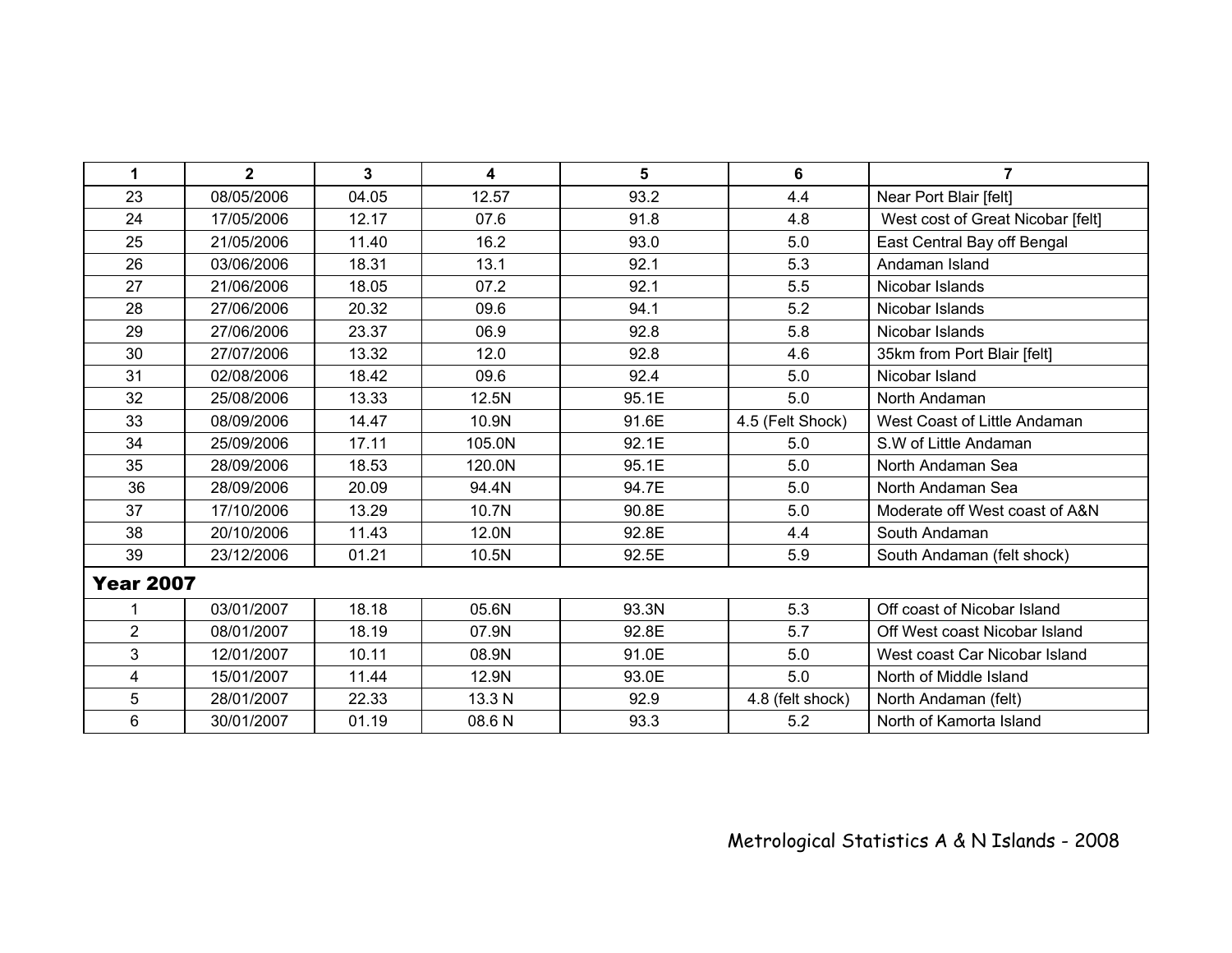| 1                | $\overline{2}$ | 3     | 4      | 5     | 6                | $\overline{7}$                    |
|------------------|----------------|-------|--------|-------|------------------|-----------------------------------|
| 23               | 08/05/2006     | 04.05 | 12.57  | 93.2  | 4.4              | Near Port Blair [felt]            |
| 24               | 17/05/2006     | 12.17 | 07.6   | 91.8  | 4.8              | West cost of Great Nicobar [felt] |
| 25               | 21/05/2006     | 11.40 | 16.2   | 93.0  | 5.0              | East Central Bay off Bengal       |
| 26               | 03/06/2006     | 18.31 | 13.1   | 92.1  | 5.3              | Andaman Island                    |
| 27               | 21/06/2006     | 18.05 | 07.2   | 92.1  | 5.5              | Nicobar Islands                   |
| 28               | 27/06/2006     | 20.32 | 09.6   | 94.1  | 5.2              | Nicobar Islands                   |
| 29               | 27/06/2006     | 23.37 | 06.9   | 92.8  | 5.8              | Nicobar Islands                   |
| 30               | 27/07/2006     | 13.32 | 12.0   | 92.8  | 4.6              | 35km from Port Blair [felt]       |
| 31               | 02/08/2006     | 18.42 | 09.6   | 92.4  | 5.0              | Nicobar Island                    |
| 32               | 25/08/2006     | 13.33 | 12.5N  | 95.1E | 5.0              | North Andaman                     |
| 33               | 08/09/2006     | 14.47 | 10.9N  | 91.6E | 4.5 (Felt Shock) | West Coast of Little Andaman      |
| 34               | 25/09/2006     | 17.11 | 105.0N | 92.1E | 5.0              | S.W of Little Andaman             |
| 35               | 28/09/2006     | 18.53 | 120.0N | 95.1E | 5.0              | North Andaman Sea                 |
| 36               | 28/09/2006     | 20.09 | 94.4N  | 94.7E | 5.0              | North Andaman Sea                 |
| 37               | 17/10/2006     | 13.29 | 10.7N  | 90.8E | 5.0              | Moderate off West coast of A&N    |
| 38               | 20/10/2006     | 11.43 | 12.0N  | 92.8E | 4.4              | South Andaman                     |
| 39               | 23/12/2006     | 01.21 | 10.5N  | 92.5E | 5.9              | South Andaman (felt shock)        |
| <b>Year 2007</b> |                |       |        |       |                  |                                   |
| 1                | 03/01/2007     | 18.18 | 05.6N  | 93.3N | 5.3              | Off coast of Nicobar Island       |
| $\overline{2}$   | 08/01/2007     | 18.19 | 07.9N  | 92.8E | 5.7              | Off West coast Nicobar Island     |
| 3                | 12/01/2007     | 10.11 | 08.9N  | 91.0E | 5.0              | West coast Car Nicobar Island     |
| 4                | 15/01/2007     | 11.44 | 12.9N  | 93.0E | 5.0              | North of Middle Island            |
| 5                | 28/01/2007     | 22.33 | 13.3 N | 92.9  | 4.8 (felt shock) | North Andaman (felt)              |
| 6                | 30/01/2007     | 01.19 | 08.6 N | 93.3  | 5.2              | North of Kamorta Island           |

## Metrological Statistics A & N Islands - 2008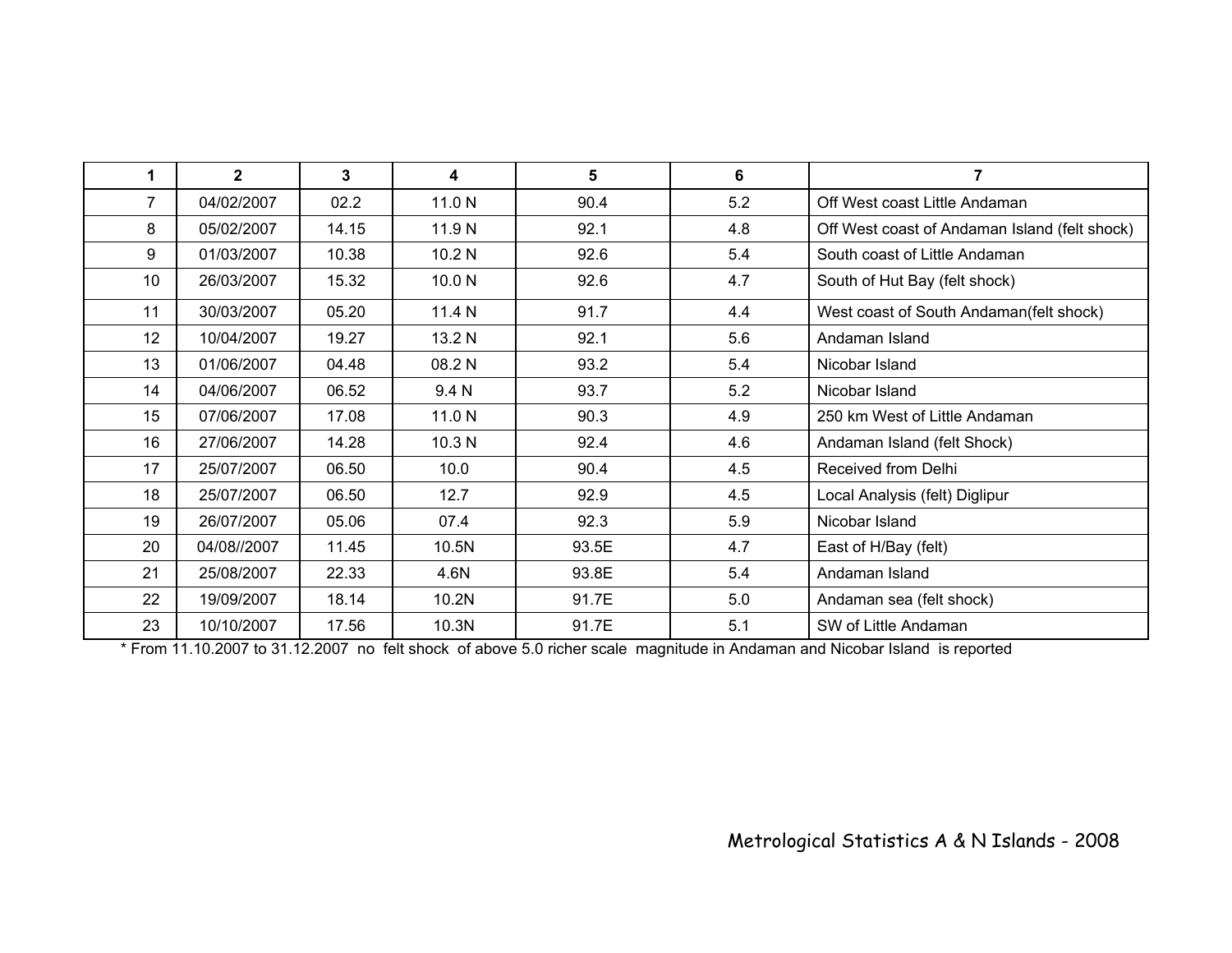| 1  | $\mathbf{2}$ | 3     | 4      | 5     | 6   |                                               |
|----|--------------|-------|--------|-------|-----|-----------------------------------------------|
| 7  | 04/02/2007   | 02.2  | 11.0 N | 90.4  | 5.2 | Off West coast Little Andaman                 |
| 8  | 05/02/2007   | 14.15 | 11.9 N | 92.1  | 4.8 | Off West coast of Andaman Island (felt shock) |
| 9  | 01/03/2007   | 10.38 | 10.2 N | 92.6  | 5.4 | South coast of Little Andaman                 |
| 10 | 26/03/2007   | 15.32 | 10.0 N | 92.6  | 4.7 | South of Hut Bay (felt shock)                 |
| 11 | 30/03/2007   | 05.20 | 11.4 N | 91.7  | 4.4 | West coast of South Andaman(felt shock)       |
| 12 | 10/04/2007   | 19.27 | 13.2 N | 92.1  | 5.6 | Andaman Island                                |
| 13 | 01/06/2007   | 04.48 | 08.2 N | 93.2  | 5.4 | Nicobar Island                                |
| 14 | 04/06/2007   | 06.52 | 9.4 N  | 93.7  | 5.2 | Nicobar Island                                |
| 15 | 07/06/2007   | 17.08 | 11.0 N | 90.3  | 4.9 | 250 km West of Little Andaman                 |
| 16 | 27/06/2007   | 14.28 | 10.3 N | 92.4  | 4.6 | Andaman Island (felt Shock)                   |
| 17 | 25/07/2007   | 06.50 | 10.0   | 90.4  | 4.5 | Received from Delhi                           |
| 18 | 25/07/2007   | 06.50 | 12.7   | 92.9  | 4.5 | Local Analysis (felt) Diglipur                |
| 19 | 26/07/2007   | 05.06 | 07.4   | 92.3  | 5.9 | Nicobar Island                                |
| 20 | 04/08//2007  | 11.45 | 10.5N  | 93.5E | 4.7 | East of H/Bay (felt)                          |
| 21 | 25/08/2007   | 22.33 | 4.6N   | 93.8E | 5.4 | Andaman Island                                |
| 22 | 19/09/2007   | 18.14 | 10.2N  | 91.7E | 5.0 | Andaman sea (felt shock)                      |
| 23 | 10/10/2007   | 17.56 | 10.3N  | 91.7E | 5.1 | SW of Little Andaman                          |

\* From 11.10.2007 to 31.12.2007 no felt shock of above 5.0 richer scale magnitude in Andaman and Nicobar Island is reported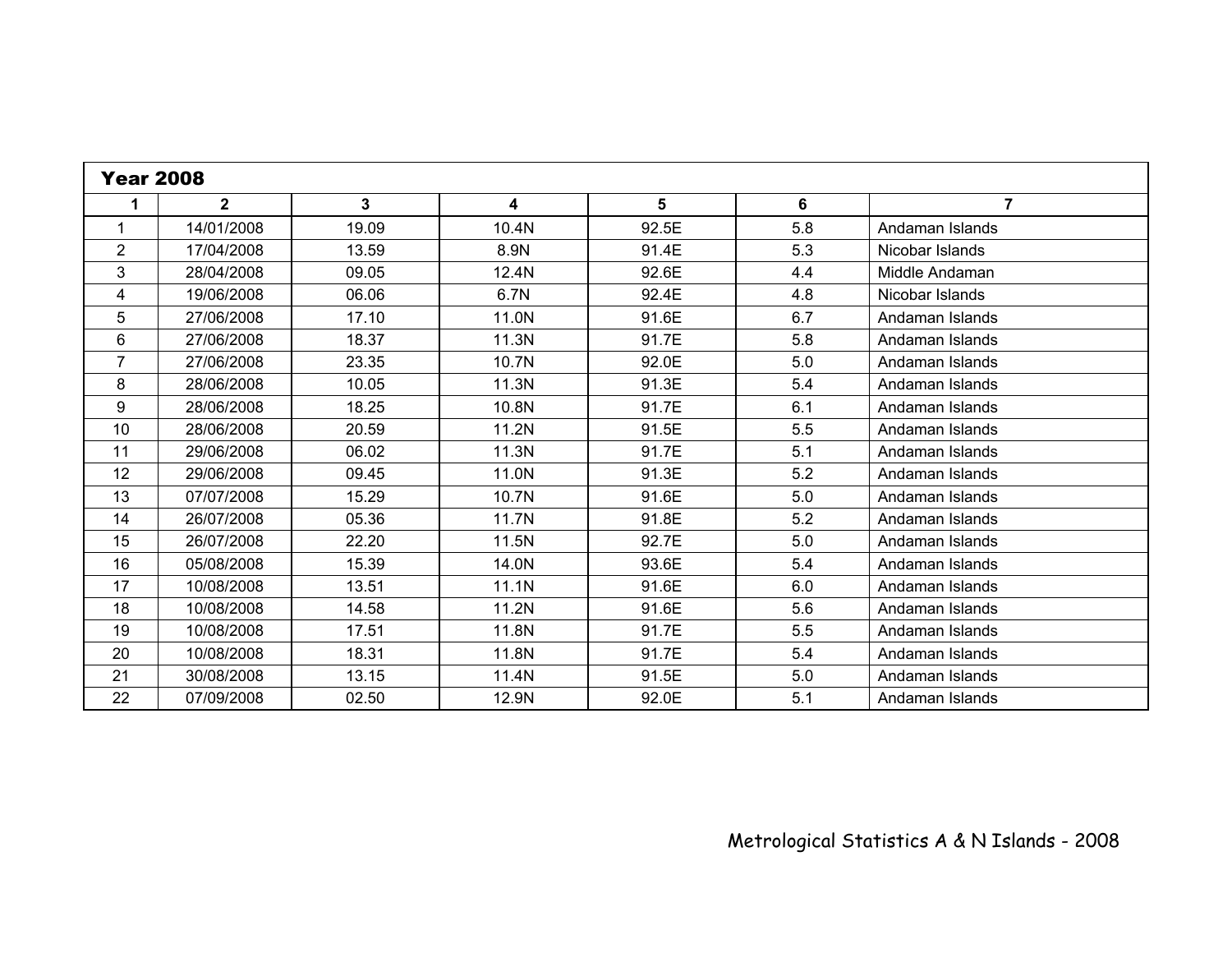| <b>Year 2008</b> |              |       |                         |       |     |                 |  |
|------------------|--------------|-------|-------------------------|-------|-----|-----------------|--|
| 1                | $\mathbf{2}$ | 3     | $\overline{\mathbf{4}}$ | 5     | 6   | $\overline{7}$  |  |
| $\mathbf 1$      | 14/01/2008   | 19.09 | 10.4N                   | 92.5E | 5.8 | Andaman Islands |  |
| $\overline{2}$   | 17/04/2008   | 13.59 | 8.9N                    | 91.4E | 5.3 | Nicobar Islands |  |
| 3                | 28/04/2008   | 09.05 | 12.4N                   | 92.6E | 4.4 | Middle Andaman  |  |
| 4                | 19/06/2008   | 06.06 | 6.7N                    | 92.4E | 4.8 | Nicobar Islands |  |
| 5                | 27/06/2008   | 17.10 | 11.0N                   | 91.6E | 6.7 | Andaman Islands |  |
| 6                | 27/06/2008   | 18.37 | 11.3N                   | 91.7E | 5.8 | Andaman Islands |  |
| $\overline{7}$   | 27/06/2008   | 23.35 | 10.7N                   | 92.0E | 5.0 | Andaman Islands |  |
| 8                | 28/06/2008   | 10.05 | 11.3N                   | 91.3E | 5.4 | Andaman Islands |  |
| 9                | 28/06/2008   | 18.25 | 10.8N                   | 91.7E | 6.1 | Andaman Islands |  |
| 10               | 28/06/2008   | 20.59 | 11.2N                   | 91.5E | 5.5 | Andaman Islands |  |
| 11               | 29/06/2008   | 06.02 | 11.3N                   | 91.7E | 5.1 | Andaman Islands |  |
| 12               | 29/06/2008   | 09.45 | 11.0N                   | 91.3E | 5.2 | Andaman Islands |  |
| 13               | 07/07/2008   | 15.29 | 10.7N                   | 91.6E | 5.0 | Andaman Islands |  |
| 14               | 26/07/2008   | 05.36 | 11.7N                   | 91.8E | 5.2 | Andaman Islands |  |
| 15               | 26/07/2008   | 22.20 | 11.5N                   | 92.7E | 5.0 | Andaman Islands |  |
| 16               | 05/08/2008   | 15.39 | 14.0N                   | 93.6E | 5.4 | Andaman Islands |  |
| 17               | 10/08/2008   | 13.51 | 11.1N                   | 91.6E | 6.0 | Andaman Islands |  |
| 18               | 10/08/2008   | 14.58 | 11.2N                   | 91.6E | 5.6 | Andaman Islands |  |
| 19               | 10/08/2008   | 17.51 | 11.8N                   | 91.7E | 5.5 | Andaman Islands |  |
| 20               | 10/08/2008   | 18.31 | 11.8N                   | 91.7E | 5.4 | Andaman Islands |  |
| 21               | 30/08/2008   | 13.15 | 11.4N                   | 91.5E | 5.0 | Andaman Islands |  |
| 22               | 07/09/2008   | 02.50 | 12.9N                   | 92.0E | 5.1 | Andaman Islands |  |